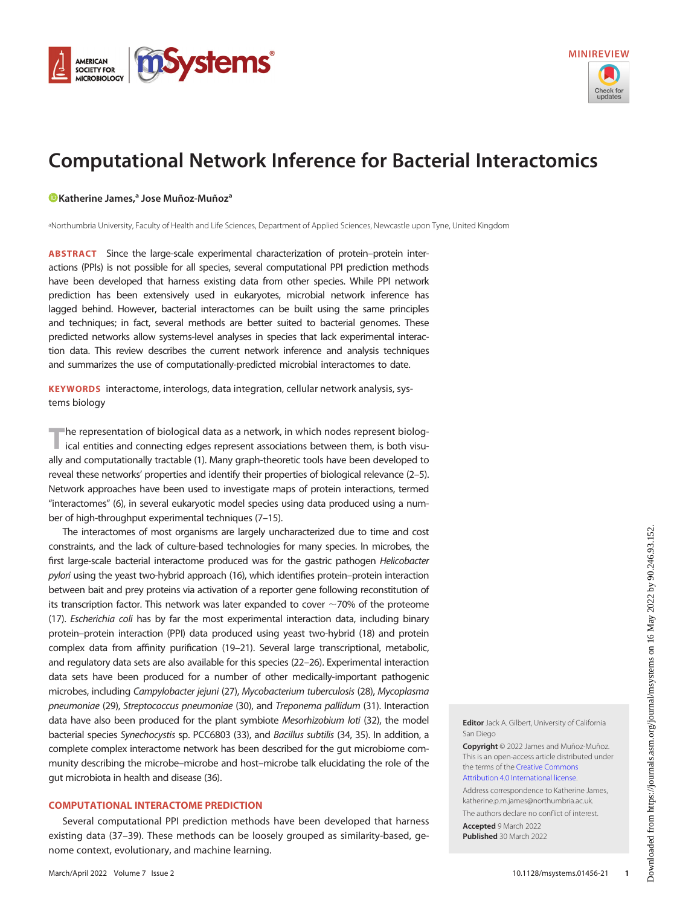<span id="page-0-0"></span>



# Computational Network Inference for Bacterial Interactomics

# [Katherine James,](https://orcid.org/0000-0003-0167-8393)<sup>a</sup> Jose Muñoz-Muñoz<sup>a</sup>

a Northumbria University, Faculty of Health and Life Sciences, Department of Applied Sciences, Newcastle upon Tyne, United Kingdom

ABSTRACT Since the large-scale experimental characterization of protein–protein interactions (PPIs) is not possible for all species, several computational PPI prediction methods have been developed that harness existing data from other species. While PPI network prediction has been extensively used in eukaryotes, microbial network inference has lagged behind. However, bacterial interactomes can be built using the same principles and techniques; in fact, several methods are better suited to bacterial genomes. These predicted networks allow systems-level analyses in species that lack experimental interaction data. This review describes the current network inference and analysis techniques and summarizes the use of computationally-predicted microbial interactomes to date.

KEYWORDS interactome, interologs, data integration, cellular network analysis, systems biology

The representation of biological data as a network, in which nodes represent biolog-<br>ical entities and connecting edges represent associations between them, is both visually and computationally tractable [\(1\)](#page-8-0). Many graph-theoretic tools have been developed to reveal these networks' properties and identify their properties of biological relevance ([2](#page-8-1)–[5\)](#page-8-2). Network approaches have been used to investigate maps of protein interactions, termed "interactomes" [\(6\)](#page-8-3), in several eukaryotic model species using data produced using a number of high-throughput experimental techniques ([7](#page-8-4)–[15](#page-8-5)).

The interactomes of most organisms are largely uncharacterized due to time and cost constraints, and the lack of culture-based technologies for many species. In microbes, the first large-scale bacterial interactome produced was for the gastric pathogen Helicobacter pylori using the yeast two-hybrid approach [\(16](#page-8-6)), which identifies protein–protein interaction between bait and prey proteins via activation of a reporter gene following reconstitution of its transcription factor. This network was later expanded to cover  $\sim$  70% of the proteome [\(17](#page-8-7)). Escherichia coli has by far the most experimental interaction data, including binary protein–protein interaction (PPI) data produced using yeast two-hybrid ([18](#page-8-8)) and protein complex data from affinity purification [\(19](#page-8-9)[–](#page-8-10)[21](#page-8-11)). Several large transcriptional, metabolic, and regulatory data sets are also available for this species [\(22](#page-8-12)–[26\)](#page-8-13). Experimental interaction data sets have been produced for a number of other medically-important pathogenic microbes, including Campylobacter jejuni [\(27\)](#page-8-14), Mycobacterium tuberculosis [\(28](#page-8-15)), Mycoplasma pneumoniae [\(29\)](#page-9-0), Streptococcus pneumoniae [\(30\)](#page-9-1), and Treponema pallidum [\(31](#page-9-2)). Interaction data have also been produced for the plant symbiote Mesorhizobium loti ([32\)](#page-9-3), the model bacterial species Synechocystis sp. PCC6803 [\(33](#page-9-4)), and Bacillus subtilis [\(34,](#page-9-5) [35\)](#page-9-6). In addition, a complete complex interactome network has been described for the gut microbiome community describing the microbe–microbe and host–microbe talk elucidating the role of the gut microbiota in health and disease [\(36\)](#page-9-7).

# COMPUTATIONAL INTERACTOME PREDICTION

Several computational PPI prediction methods have been developed that harness existing data ([37](#page-9-8)[–](#page-9-9)[39\)](#page-9-10). These methods can be loosely grouped as similarity-based, genome context, evolutionary, and machine learning.

Editor Jack A. Gilbert, University of California San Diego

Copyright © 2022 James and Muñoz-Muñoz. This is an open-access article distributed under the terms of the [Creative Commons](https://creativecommons.org/licenses/by/4.0/) [Attribution 4.0 International license](https://creativecommons.org/licenses/by/4.0/).

Address correspondence to Katherine James, katherine.p.m.james@northumbria.ac.uk.

The authors declare no conflict of interest. Accepted 9 March 2022

Published 30 March 2022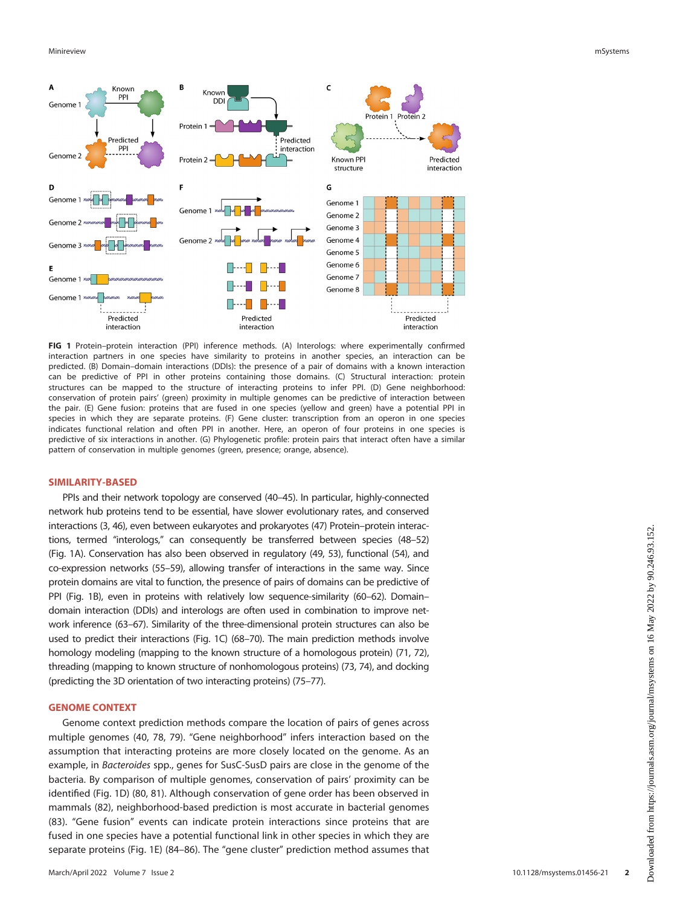

<span id="page-1-0"></span>FIG 1 Protein–protein interaction (PPI) inference methods. (A) Interologs: where experimentally confirmed interaction partners in one species have similarity to proteins in another species, an interaction can be predicted. (B) Domain–domain interactions (DDIs): the presence of a pair of domains with a known interaction can be predictive of PPI in other proteins containing those domains. (C) Structural interaction: protein structures can be mapped to the structure of interacting proteins to infer PPI. (D) Gene neighborhood: conservation of protein pairs' (green) proximity in multiple genomes can be predictive of interaction between the pair. (E) Gene fusion: proteins that are fused in one species (yellow and green) have a potential PPI in species in which they are separate proteins. (F) Gene cluster: transcription from an operon in one species indicates functional relation and often PPI in another. Here, an operon of four proteins in one species is predictive of six interactions in another. (G) Phylogenetic profile: protein pairs that interact often have a similar pattern of conservation in multiple genomes (green, presence; orange, absence).

## SIMILARITY-BASED

PPIs and their network topology are conserved [\(40](#page-9-11)–[45](#page-9-12)). In particular, highly-connected network hub proteins tend to be essential, have slower evolutionary rates, and conserved interactions [\(3](#page-8-16), [46](#page-9-13)), even between eukaryotes and prokaryotes [\(47](#page-9-14)) Protein–protein interactions, termed "interologs," can consequently be transferred between species [\(48](#page-9-15)–[52](#page-9-16)) [\(Fig. 1A\)](#page-1-0). Conservation has also been observed in regulatory [\(49,](#page-9-17) [53](#page-9-18)), functional [\(54\)](#page-9-19), and co-expression networks [\(55](#page-9-20)–[59\)](#page-9-21), allowing transfer of interactions in the same way. Since protein domains are vital to function, the presence of pairs of domains can be predictive of PPI [\(Fig. 1B](#page-1-0)), even in proteins with relatively low sequence-similarity [\(60](#page-9-22)[–](#page-9-23)[62\)](#page-9-24). Domain– domain interaction (DDIs) and interologs are often used in combination to improve network inference [\(63](#page-9-25)–[67\)](#page-9-26). Similarity of the three-dimensional protein structures can also be used to predict their interactions [\(Fig. 1C](#page-1-0)) [\(68](#page-9-27)[–](#page-9-28)[70](#page-10-0)). The main prediction methods involve homology modeling (mapping to the known structure of a homologous protein) ([71](#page-10-1), [72\)](#page-10-2), threading (mapping to known structure of nonhomologous proteins) [\(73](#page-10-3), [74](#page-10-4)), and docking (predicting the 3D orientation of two interacting proteins) [\(75](#page-10-5)[–](#page-10-6)[77](#page-10-7)).

#### GENOME CONTEXT

Genome context prediction methods compare the location of pairs of genes across multiple genomes ([40,](#page-9-11) [78](#page-10-8), [79\)](#page-10-9). "Gene neighborhood" infers interaction based on the assumption that interacting proteins are more closely located on the genome. As an example, in Bacteroides spp., genes for SusC-SusD pairs are close in the genome of the bacteria. By comparison of multiple genomes, conservation of pairs' proximity can be identified [\(Fig. 1D](#page-1-0)) ([80](#page-10-10), [81\)](#page-10-11). Although conservation of gene order has been observed in mammals [\(82\)](#page-10-12), neighborhood-based prediction is most accurate in bacterial genomes ([83\)](#page-10-13). "Gene fusion" events can indicate protein interactions since proteins that are fused in one species have a potential functional link in other species in which they are separate proteins ([Fig. 1E\)](#page-1-0) ([84](#page-10-14)[–](#page-10-15)[86](#page-10-16)). The "gene cluster" prediction method assumes that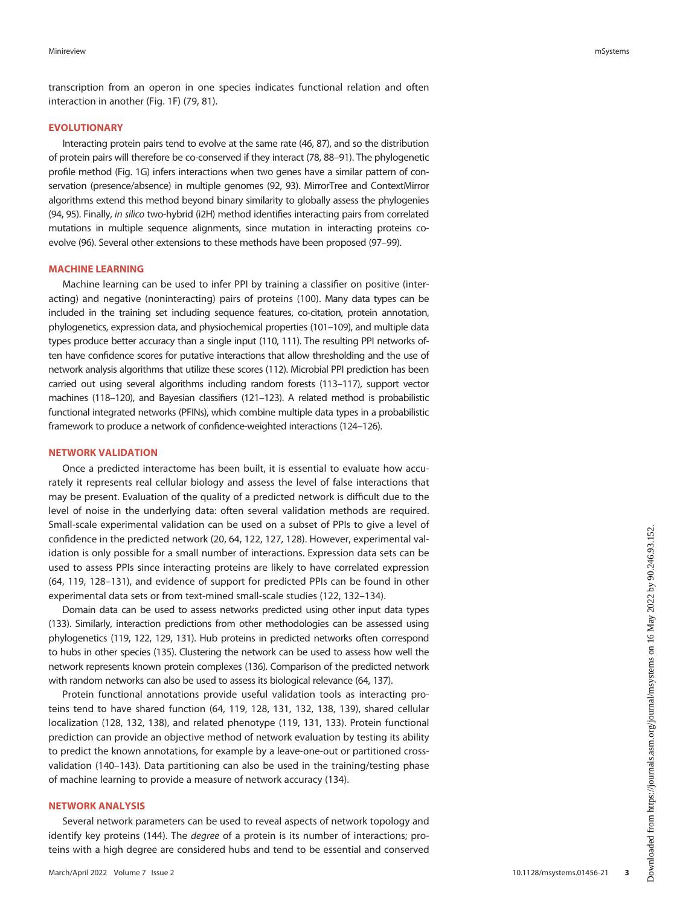transcription from an operon in one species indicates functional relation and often interaction in another [\(Fig. 1F\)](#page-1-0) [\(79](#page-10-9), [81\)](#page-10-11).

## EVOLUTIONARY

Interacting protein pairs tend to evolve at the same rate [\(46,](#page-9-13) [87](#page-10-17)), and so the distribution of protein pairs will therefore be co-conserved if they interact [\(78,](#page-10-8) [88](#page-10-18)–[91\)](#page-10-19). The phylogenetic profile method ([Fig. 1G\)](#page-1-0) infers interactions when two genes have a similar pattern of conservation (presence/absence) in multiple genomes [\(92,](#page-10-20) [93\)](#page-10-21). MirrorTree and ContextMirror algorithms extend this method beyond binary similarity to globally assess the phylogenies [\(94](#page-10-22), [95\)](#page-10-23). Finally, in silico two-hybrid (i2H) method identifies interacting pairs from correlated mutations in multiple sequence alignments, since mutation in interacting proteins coevolve [\(96\)](#page-10-24). Several other extensions to these methods have been proposed [\(97](#page-10-25)[–](#page-10-26)[99](#page-10-27)).

## MACHINE LEARNING

Machine learning can be used to infer PPI by training a classifier on positive (interacting) and negative (noninteracting) pairs of proteins [\(100](#page-10-28)). Many data types can be included in the training set including sequence features, co-citation, protein annotation, phylogenetics, expression data, and physiochemical properties [\(101](#page-10-29)–[109\)](#page-10-30), and multiple data types produce better accuracy than a single input [\(110](#page-10-31), [111\)](#page-10-32). The resulting PPI networks often have confidence scores for putative interactions that allow thresholding and the use of network analysis algorithms that utilize these scores [\(112\)](#page-10-33). Microbial PPI prediction has been carried out using several algorithms including random forests ([113](#page-10-34)–[117\)](#page-11-0), support vector machines [\(118](#page-11-1)[–](#page-11-2)[120](#page-11-3)), and Bayesian classifiers [\(121](#page-11-4)[–](#page-11-5)[123](#page-11-6)). A related method is probabilistic functional integrated networks (PFINs), which combine multiple data types in a probabilistic framework to produce a network of confidence-weighted interactions [\(124](#page-11-7)[–](#page-11-8)[126](#page-11-9)).

## NETWORK VALIDATION

Once a predicted interactome has been built, it is essential to evaluate how accurately it represents real cellular biology and assess the level of false interactions that may be present. Evaluation of the quality of a predicted network is difficult due to the level of noise in the underlying data: often several validation methods are required. Small-scale experimental validation can be used on a subset of PPIs to give a level of confidence in the predicted network ([20,](#page-8-10) [64](#page-9-29), [122](#page-11-5), [127](#page-11-10), [128\)](#page-11-11). However, experimental validation is only possible for a small number of interactions. Expression data sets can be used to assess PPIs since interacting proteins are likely to have correlated expression ([64,](#page-9-29) [119,](#page-11-2) [128](#page-11-11)–[131\)](#page-11-12), and evidence of support for predicted PPIs can be found in other experimental data sets or from text-mined small-scale studies ([122,](#page-11-5) [132](#page-11-13)[–](#page-11-14)[134](#page-11-15)).

Domain data can be used to assess networks predicted using other input data types [\(133\)](#page-11-14). Similarly, interaction predictions from other methodologies can be assessed using phylogenetics [\(119](#page-11-2), [122](#page-11-5), [129](#page-11-16), [131](#page-11-12)). Hub proteins in predicted networks often correspond to hubs in other species [\(135](#page-11-17)). Clustering the network can be used to assess how well the network represents known protein complexes [\(136](#page-11-18)). Comparison of the predicted network with random networks can also be used to assess its biological relevance [\(64](#page-9-29), [137](#page-11-19)).

Protein functional annotations provide useful validation tools as interacting proteins tend to have shared function ([64,](#page-9-29) [119,](#page-11-2) [128,](#page-11-11) [131](#page-11-12), [132](#page-11-13), [138](#page-11-20), [139](#page-11-21)), shared cellular localization ([128](#page-11-11), [132](#page-11-13), [138\)](#page-11-20), and related phenotype ([119](#page-11-2), [131](#page-11-12), [133](#page-11-14)). Protein functional prediction can provide an objective method of network evaluation by testing its ability to predict the known annotations, for example by a leave-one-out or partitioned crossvalidation ([140](#page-11-22)–[143](#page-11-23)). Data partitioning can also be used in the training/testing phase of machine learning to provide a measure of network accuracy [\(134](#page-11-15)).

### NETWORK ANALYSIS

Several network parameters can be used to reveal aspects of network topology and identify key proteins ([144](#page-11-24)). The *degree* of a protein is its number of interactions; proteins with a high degree are considered hubs and tend to be essential and conserved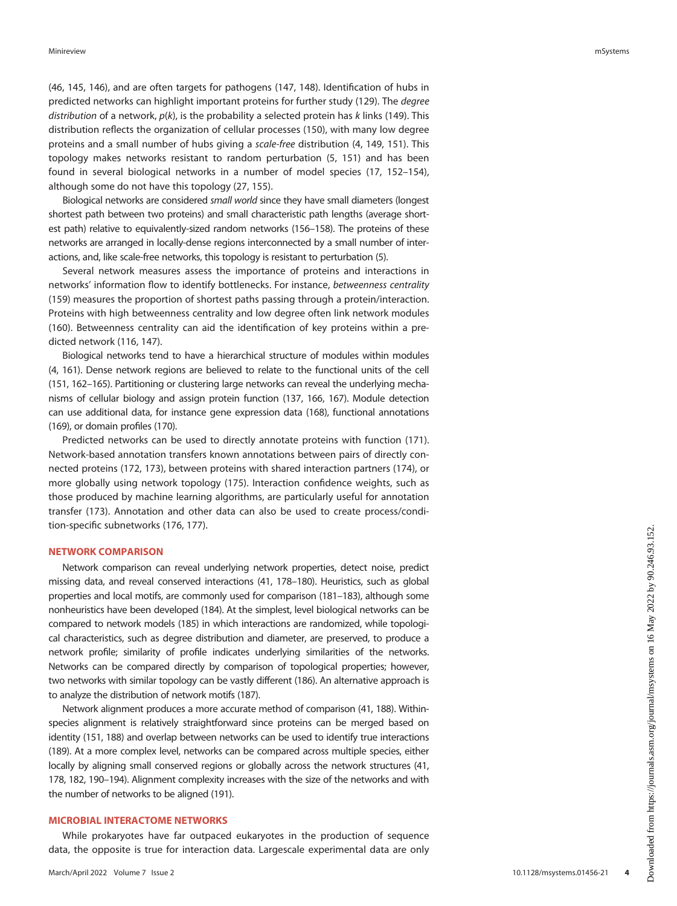([46,](#page-9-13) [145](#page-11-25), [146\)](#page-11-26), and are often targets for pathogens [\(147](#page-11-27), [148](#page-11-28)). Identification of hubs in predicted networks can highlight important proteins for further study ([129\)](#page-11-16). The degree distribution of a network,  $p(k)$ , is the probability a selected protein has k links [\(149](#page-11-29)). This distribution reflects the organization of cellular processes ([150\)](#page-11-30), with many low degree proteins and a small number of hubs giving a scale-free distribution [\(4,](#page-8-17) [149](#page-11-29), [151\)](#page-11-31). This topology makes networks resistant to random perturbation ([5](#page-8-2), [151](#page-11-31)) and has been found in several biological networks in a number of model species [\(17](#page-8-7), [152](#page-11-32)[–](#page-11-33)[154\)](#page-11-34), although some do not have this topology [\(27,](#page-8-14) [155](#page-12-0)).

Biological networks are considered small world since they have small diameters (longest shortest path between two proteins) and small characteristic path lengths (average shortest path) relative to equivalently-sized random networks [\(156](#page-12-1)[–](#page-12-2)[158](#page-12-3)). The proteins of these networks are arranged in locally-dense regions interconnected by a small number of interactions, and, like scale-free networks, this topology is resistant to perturbation [\(5](#page-8-2)).

Several network measures assess the importance of proteins and interactions in networks' information flow to identify bottlenecks. For instance, betweenness centrality ([159](#page-12-4)) measures the proportion of shortest paths passing through a protein/interaction. Proteins with high betweenness centrality and low degree often link network modules ([160](#page-12-5)). Betweenness centrality can aid the identification of key proteins within a predicted network [\(116,](#page-11-35) [147\)](#page-11-27).

Biological networks tend to have a hierarchical structure of modules within modules [\(4,](#page-8-17) [161](#page-12-6)). Dense network regions are believed to relate to the functional units of the cell [\(151,](#page-11-31) [162](#page-12-7)–[165\)](#page-12-8). Partitioning or clustering large networks can reveal the underlying mechanisms of cellular biology and assign protein function [\(137](#page-11-19), [166,](#page-12-9) [167](#page-12-10)). Module detection can use additional data, for instance gene expression data [\(168](#page-12-11)), functional annotations [\(169\)](#page-12-12), or domain profiles ([170\)](#page-12-13).

Predicted networks can be used to directly annotate proteins with function ([171\)](#page-12-14). Network-based annotation transfers known annotations between pairs of directly connected proteins ([172,](#page-12-15) [173\)](#page-12-16), between proteins with shared interaction partners [\(174](#page-12-17)), or more globally using network topology ([175\)](#page-12-18). Interaction confidence weights, such as those produced by machine learning algorithms, are particularly useful for annotation transfer ([173\)](#page-12-16). Annotation and other data can also be used to create process/condition-specific subnetworks [\(176](#page-12-19), [177](#page-12-20)).

# NETWORK COMPARISON

Network comparison can reveal underlying network properties, detect noise, predict missing data, and reveal conserved interactions [\(41,](#page-9-30) [178](#page-12-21)[–](#page-12-22)[180\)](#page-12-23). Heuristics, such as global properties and local motifs, are commonly used for comparison [\(181](#page-12-24)[–](#page-12-25)[183](#page-12-26)), although some nonheuristics have been developed [\(184](#page-12-27)). At the simplest, level biological networks can be compared to network models [\(185\)](#page-12-28) in which interactions are randomized, while topological characteristics, such as degree distribution and diameter, are preserved, to produce a network profile; similarity of profile indicates underlying similarities of the networks. Networks can be compared directly by comparison of topological properties; however, two networks with similar topology can be vastly different [\(186](#page-12-29)). An alternative approach is to analyze the distribution of network motifs ([187\)](#page-12-30).

Network alignment produces a more accurate method of comparison [\(41,](#page-9-30) [188](#page-12-31)). Withinspecies alignment is relatively straightforward since proteins can be merged based on identity [\(151](#page-11-31), [188\)](#page-12-31) and overlap between networks can be used to identify true interactions [\(189\)](#page-12-32). At a more complex level, networks can be compared across multiple species, either locally by aligning small conserved regions or globally across the network structures [\(41](#page-9-30), [178](#page-12-21), [182,](#page-12-25) [190](#page-12-33)–[194](#page-12-34)). Alignment complexity increases with the size of the networks and with the number of networks to be aligned ([191](#page-12-35)).

#### MICROBIAL INTERACTOME NETWORKS

While prokaryotes have far outpaced eukaryotes in the production of sequence data, the opposite is true for interaction data. Largescale experimental data are only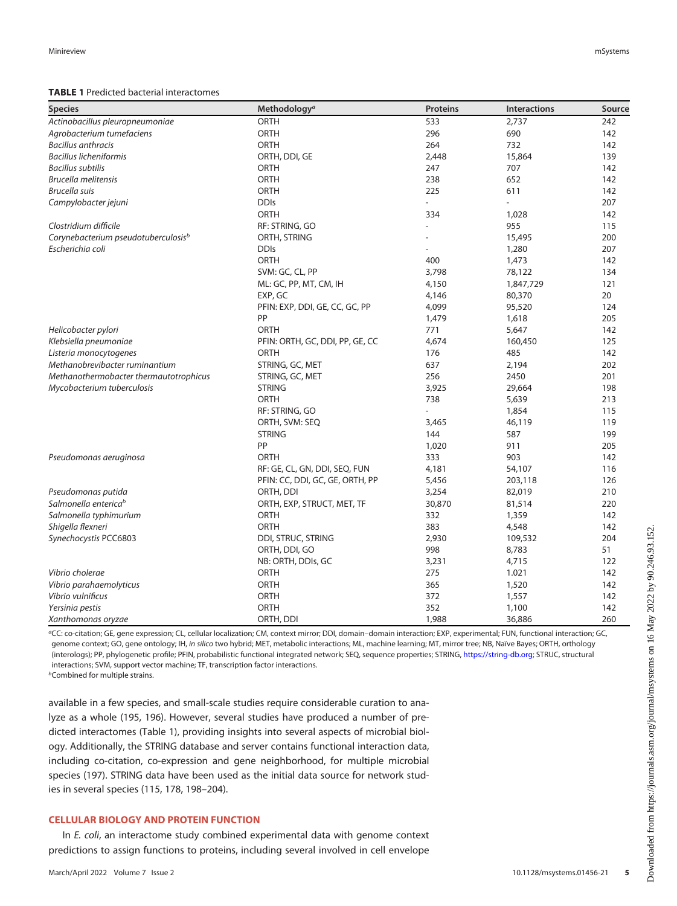#### <span id="page-4-0"></span>TABLE 1 Predicted bacterial interactomes

| <b>Species</b>                                  | Methodology <sup>a</sup>        | <b>Proteins</b> | <b>Interactions</b> | Source |
|-------------------------------------------------|---------------------------------|-----------------|---------------------|--------|
| Actinobacillus pleuropneumoniae                 | <b>ORTH</b>                     | 533             | 2,737               | 242    |
| Agrobacterium tumefaciens                       | ORTH                            | 296             | 690                 | 142    |
| <b>Bacillus anthracis</b>                       | <b>ORTH</b>                     | 264             | 732                 | 142    |
| <b>Bacillus licheniformis</b>                   | ORTH, DDI, GE                   | 2,448           | 15,864              | 139    |
| <b>Bacillus subtilis</b>                        | ORTH                            | 247             | 707                 | 142    |
| <b>Brucella melitensis</b>                      | ORTH                            | 238             | 652                 | 142    |
| Brucella suis                                   | ORTH                            | 225             | 611                 | 142    |
| Campylobacter jejuni                            | <b>DDIs</b>                     |                 | $\overline{a}$      | 207    |
|                                                 | <b>ORTH</b>                     | 334             | 1,028               | 142    |
| Clostridium difficile                           | RF: STRING, GO                  |                 | 955                 | 115    |
| Corynebacterium pseudotuberculosis <sup>b</sup> | ORTH, STRING                    |                 | 15,495              | 200    |
| Escherichia coli                                | <b>DDIs</b>                     |                 | 1,280               | 207    |
|                                                 | <b>ORTH</b>                     | 400             | 1,473               | 142    |
|                                                 | SVM: GC, CL, PP                 | 3,798           | 78,122              | 134    |
|                                                 | ML: GC, PP, MT, CM, IH          | 4,150           | 1,847,729           | 121    |
|                                                 | EXP, GC                         | 4,146           | 80,370              | 20     |
|                                                 | PFIN: EXP, DDI, GE, CC, GC, PP  | 4,099           | 95,520              | 124    |
|                                                 | PP                              | 1,479           | 1,618               | 205    |
| Helicobacter pylori                             | ORTH                            | 771             | 5,647               | 142    |
| Klebsiella pneumoniae                           | PFIN: ORTH, GC, DDI, PP, GE, CC | 4,674           | 160,450             | 125    |
| Listeria monocytogenes                          | ORTH                            | 176             | 485                 | 142    |
| Methanobrevibacter ruminantium                  | STRING, GC, MET                 | 637             | 2,194               | 202    |
| Methanothermobacter thermautotrophicus          | STRING, GC, MET                 | 256             | 2450                | 201    |
| Mycobacterium tuberculosis                      | <b>STRING</b>                   | 3,925           | 29,664              | 198    |
|                                                 | <b>ORTH</b>                     | 738             | 5,639               | 213    |
|                                                 | RF: STRING, GO                  |                 | 1,854               | 115    |
|                                                 | ORTH, SVM: SEQ                  | 3,465           | 46,119              | 119    |
|                                                 | <b>STRING</b>                   | 144             | 587                 | 199    |
|                                                 | PP                              | 1,020           | 911                 | 205    |
| Pseudomonas aeruginosa                          | <b>ORTH</b>                     | 333             | 903                 | 142    |
|                                                 | RF: GE, CL, GN, DDI, SEQ, FUN   | 4,181           | 54,107              | 116    |
|                                                 | PFIN: CC, DDI, GC, GE, ORTH, PP | 5,456           | 203,118             | 126    |
| Pseudomonas putida                              | ORTH, DDI                       | 3,254           | 82,019              | 210    |
| Salmonella enterica <sup>b</sup>                | ORTH, EXP, STRUCT, MET, TF      | 30,870          | 81,514              | 220    |
| Salmonella typhimurium                          | <b>ORTH</b>                     | 332             | 1,359               | 142    |
| Shigella flexneri                               | <b>ORTH</b>                     | 383             | 4,548               | 142    |
| Synechocystis PCC6803                           | DDI, STRUC, STRING              | 2,930           | 109,532             | 204    |
|                                                 | ORTH, DDI, GO                   | 998             | 8,783               | 51     |
|                                                 | NB: ORTH, DDIs, GC              | 3,231           | 4,715               | 122    |
| Vibrio cholerae                                 | ORTH                            | 275             | 1.021               | 142    |
| Vibrio parahaemolyticus                         | ORTH                            | 365             | 1,520               | 142    |
| Vibrio vulnificus                               | ORTH                            | 372             | 1,557               | 142    |
| Yersinia pestis                                 | <b>ORTH</b>                     | 352             | 1,100               | 142    |
| Xanthomonas oryzae                              | ORTH, DDI                       | 1,988           | 36,886              | 260    |

<sup>a</sup>CC: co-citation; GE, gene expression; CL, cellular localization; CM, context mirror; DDI, domain–domain interaction; EXP, experimental; FUN, functional interaction; GC, genome context; GO, gene ontology; IH, in silico two hybrid; MET, metabolic interactions; ML, machine learning; MT, mirror tree; NB, Naïve Bayes; ORTH, orthology (interologs); PP, phylogenetic profile; PFIN, probabilistic functional integrated network; SEQ, sequence properties; STRING, <https://string-db.org>; STRUC, structural interactions; SVM, support vector machine; TF, transcription factor interactions.

*b***Combined for multiple strains.** 

available in a few species, and small-scale studies require considerable curation to analyze as a whole ([195](#page-12-36), [196](#page-12-37)). However, several studies have produced a number of predicted interactomes ([Table 1\)](#page-4-0), providing insights into several aspects of microbial biology. Additionally, the STRING database and server contains functional interaction data, including co-citation, co-expression and gene neighborhood, for multiple microbial species ([197](#page-12-38)). STRING data have been used as the initial data source for network studies in several species ([115](#page-11-36), [178](#page-12-21), [198](#page-12-39)–[204\)](#page-13-0).

# CELLULAR BIOLOGY AND PROTEIN FUNCTION

In E. coli, an interactome study combined experimental data with genome context predictions to assign functions to proteins, including several involved in cell envelope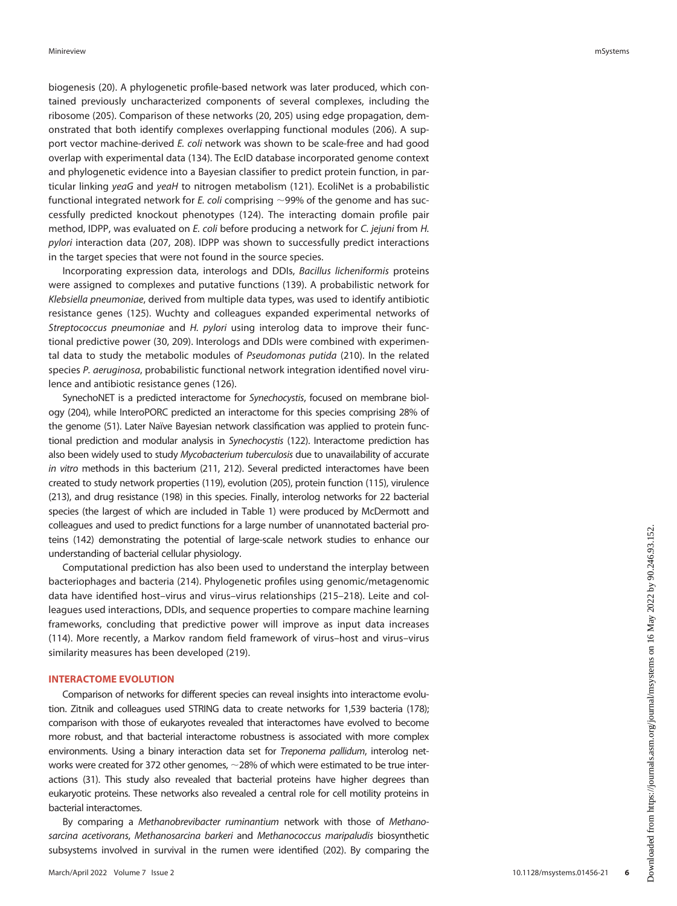biogenesis ([20\)](#page-8-10). A phylogenetic profile-based network was later produced, which contained previously uncharacterized components of several complexes, including the ribosome [\(205](#page-13-3)). Comparison of these networks ([20,](#page-8-10) [205\)](#page-13-3) using edge propagation, demonstrated that both identify complexes overlapping functional modules ([206](#page-13-9)). A support vector machine-derived E. coli network was shown to be scale-free and had good overlap with experimental data [\(134](#page-11-15)). The EcID database incorporated genome context and phylogenetic evidence into a Bayesian classifier to predict protein function, in par-ticular linking yeaG and yeaH to nitrogen metabolism [\(121](#page-11-4)). EcoliNet is a probabilistic functional integrated network for E. coli comprising  $\sim$ 99% of the genome and has successfully predicted knockout phenotypes [\(124](#page-11-7)). The interacting domain profile pair method, IDPP, was evaluated on E. coli before producing a network for C. jejuni from H. pylori interaction data ([207,](#page-13-1) [208](#page-13-10)). IDPP was shown to successfully predict interactions in the target species that were not found in the source species.

Incorporating expression data, interologs and DDIs, Bacillus licheniformis proteins were assigned to complexes and putative functions ([139\)](#page-11-21). A probabilistic network for Klebsiella pneumoniae, derived from multiple data types, was used to identify antibiotic resistance genes [\(125](#page-11-8)). Wuchty and colleagues expanded experimental networks of Streptococcus pneumoniae and H. pylori using interolog data to improve their functional predictive power [\(30](#page-9-1), [209\)](#page-13-11). Interologs and DDIs were combined with experimental data to study the metabolic modules of Pseudomonas putida ([210\)](#page-13-7). In the related species P. aeruginosa, probabilistic functional network integration identified novel virulence and antibiotic resistance genes [\(126](#page-11-9)).

SynechoNET is a predicted interactome for Synechocystis, focused on membrane biology [\(204](#page-13-0)), while InteroPORC predicted an interactome for this species comprising 28% of the genome [\(51\)](#page-9-31). Later Naïve Bayesian network classification was applied to protein functional prediction and modular analysis in Synechocystis ([122\)](#page-11-5). Interactome prediction has also been widely used to study Mycobacterium tuberculosis due to unavailability of accurate in vitro methods in this bacterium [\(211](#page-13-12), [212\)](#page-13-13). Several predicted interactomes have been created to study network properties [\(119](#page-11-2)), evolution ([205\)](#page-13-3), protein function [\(115\)](#page-11-36), virulence [\(213\)](#page-13-6), and drug resistance [\(198](#page-12-39)) in this species. Finally, interolog networks for 22 bacterial species (the largest of which are included in [Table 1](#page-4-0)) were produced by McDermott and colleagues and used to predict functions for a large number of unannotated bacterial proteins ([142\)](#page-11-37) demonstrating the potential of large-scale network studies to enhance our understanding of bacterial cellular physiology.

Computational prediction has also been used to understand the interplay between bacteriophages and bacteria ([214\)](#page-13-14). Phylogenetic profiles using genomic/metagenomic data have identified host–virus and virus–virus relationships ([215](#page-13-15)–[218\)](#page-13-16). Leite and colleagues used interactions, DDIs, and sequence properties to compare machine learning frameworks, concluding that predictive power will improve as input data increases ([114](#page-11-38)). More recently, a Markov random field framework of virus–host and virus–virus similarity measures has been developed ([219\)](#page-13-17).

## INTERACTOME EVOLUTION

Comparison of networks for different species can reveal insights into interactome evolution. Zitnik and colleagues used STRING data to create networks for 1,539 bacteria ([178\)](#page-12-21); comparison with those of eukaryotes revealed that interactomes have evolved to become more robust, and that bacterial interactome robustness is associated with more complex environments. Using a binary interaction data set for Treponema pallidum, interolog networks were created for 372 other genomes,  $\sim$  28% of which were estimated to be true interactions [\(31\)](#page-9-2). This study also revealed that bacterial proteins have higher degrees than eukaryotic proteins. These networks also revealed a central role for cell motility proteins in bacterial interactomes.

By comparing a Methanobrevibacter ruminantium network with those of Methanosarcina acetivorans, Methanosarcina barkeri and Methanococcus maripaludis biosynthetic subsystems involved in survival in the rumen were identified ([202\)](#page-13-4). By comparing the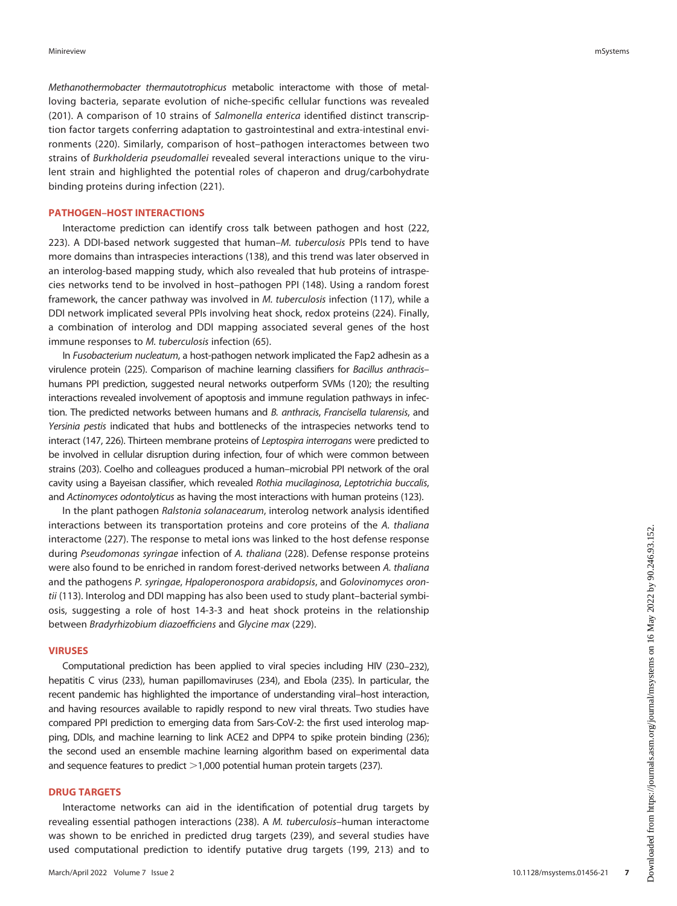Methanothermobacter thermautotrophicus metabolic interactome with those of metalloving bacteria, separate evolution of niche-specific cellular functions was revealed ([201\)](#page-13-5). A comparison of 10 strains of Salmonella enterica identified distinct transcription factor targets conferring adaptation to gastrointestinal and extra-intestinal environments ([220\)](#page-13-8). Similarly, comparison of host–pathogen interactomes between two strains of Burkholderia pseudomallei revealed several interactions unique to the virulent strain and highlighted the potential roles of chaperon and drug/carbohydrate binding proteins during infection [\(221](#page-13-18)).

## PATHOGEN–HOST INTERACTIONS

Interactome prediction can identify cross talk between pathogen and host [\(222](#page-13-19), [223\)](#page-13-20). A DDI-based network suggested that human–M. tuberculosis PPIs tend to have more domains than intraspecies interactions ([138\)](#page-11-20), and this trend was later observed in an interolog-based mapping study, which also revealed that hub proteins of intraspecies networks tend to be involved in host–pathogen PPI ([148\)](#page-11-28). Using a random forest framework, the cancer pathway was involved in M. tuberculosis infection ([117\)](#page-11-0), while a DDI network implicated several PPIs involving heat shock, redox proteins [\(224\)](#page-13-21). Finally, a combination of interolog and DDI mapping associated several genes of the host immune responses to M. tuberculosis infection ([65](#page-9-32)).

In Fusobacterium nucleatum, a host-pathogen network implicated the Fap2 adhesin as a virulence protein [\(225](#page-13-22)). Comparison of machine learning classifiers for Bacillus anthracis– humans PPI prediction, suggested neural networks outperform SVMs ([120\)](#page-11-3); the resulting interactions revealed involvement of apoptosis and immune regulation pathways in infection. The predicted networks between humans and B. anthracis, Francisella tularensis, and Yersinia pestis indicated that hubs and bottlenecks of the intraspecies networks tend to interact [\(147](#page-11-27), [226](#page-13-23)). Thirteen membrane proteins of Leptospira interrogans were predicted to be involved in cellular disruption during infection, four of which were common between strains [\(203](#page-13-24)). Coelho and colleagues produced a human–microbial PPI network of the oral cavity using a Bayeisan classifier, which revealed Rothia mucilaginosa, Leptotrichia buccalis, and Actinomyces odontolyticus as having the most interactions with human proteins [\(123](#page-11-6)).

In the plant pathogen Ralstonia solanacearum, interolog network analysis identified interactions between its transportation proteins and core proteins of the A. thaliana interactome ([227\)](#page-13-25). The response to metal ions was linked to the host defense response during Pseudomonas syringae infection of A. thaliana ([228](#page-13-26)). Defense response proteins were also found to be enriched in random forest-derived networks between A. thaliana and the pathogens P. syringae, Hpaloperonospora arabidopsis, and Golovinomyces oron-tii ([113\)](#page-10-34). Interolog and DDI mapping has also been used to study plant–bacterial symbiosis, suggesting a role of host 14-3-3 and heat shock proteins in the relationship between Bradyrhizobium diazoefficiens and Glycine max [\(229\)](#page-13-27).

#### VIRUSES

Computational prediction has been applied to viral species including HIV [\(230](#page-13-28)[–](#page-13-29)[232\)](#page-13-30), hepatitis C virus [\(233](#page-13-31)), human papillomaviruses ([234\)](#page-13-32), and Ebola ([235\)](#page-13-33). In particular, the recent pandemic has highlighted the importance of understanding viral–host interaction, and having resources available to rapidly respond to new viral threats. Two studies have compared PPI prediction to emerging data from Sars-CoV-2: the first used interolog mapping, DDIs, and machine learning to link ACE2 and DPP4 to spike protein binding ([236\)](#page-13-34); the second used an ensemble machine learning algorithm based on experimental data and sequence features to predict  $>1,000$  potential human protein targets [\(237](#page-13-35)).

## DRUG TARGETS

Interactome networks can aid in the identification of potential drug targets by revealing essential pathogen interactions ([238\)](#page-13-36). A M. tuberculosis–human interactome was shown to be enriched in predicted drug targets [\(239](#page-13-37)), and several studies have used computational prediction to identify putative drug targets ([199](#page-12-40), [213](#page-13-6)) and to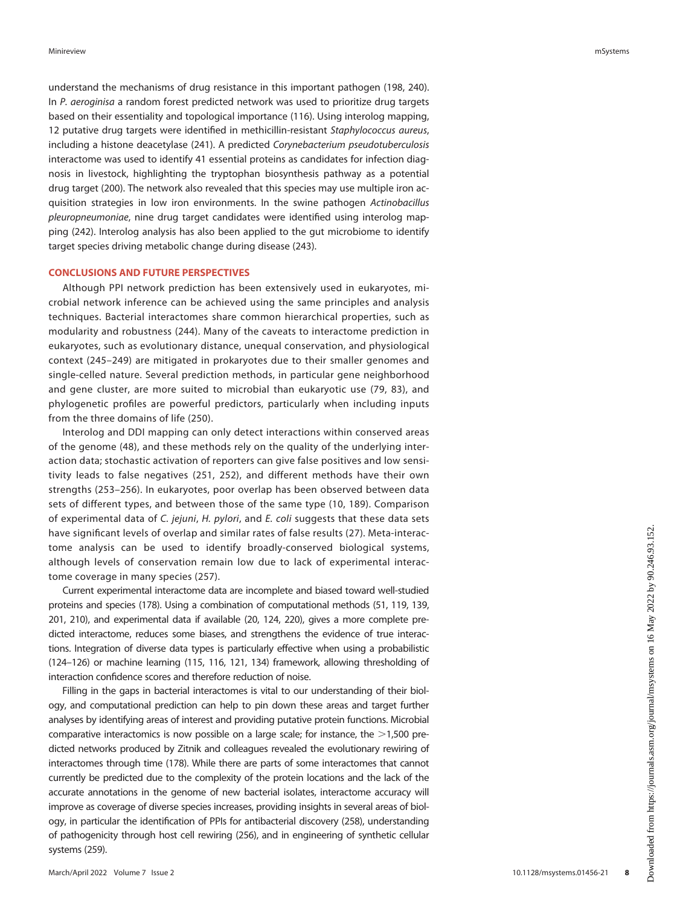understand the mechanisms of drug resistance in this important pathogen [\(198](#page-12-39), [240\)](#page-14-2). In P. aeroginisa a random forest predicted network was used to prioritize drug targets based on their essentiality and topological importance ([116](#page-11-35)). Using interolog mapping, 12 putative drug targets were identified in methicillin-resistant Staphylococcus aureus, including a histone deacetylase ([241\)](#page-14-3). A predicted Corynebacterium pseudotuberculosis interactome was used to identify 41 essential proteins as candidates for infection diagnosis in livestock, highlighting the tryptophan biosynthesis pathway as a potential drug target ([200\)](#page-13-2). The network also revealed that this species may use multiple iron acquisition strategies in low iron environments. In the swine pathogen Actinobacillus pleuropneumoniae, nine drug target candidates were identified using interolog mapping ([242](#page-14-0)). Interolog analysis has also been applied to the gut microbiome to identify target species driving metabolic change during disease [\(243](#page-14-4)).

## CONCLUSIONS AND FUTURE PERSPECTIVES

Although PPI network prediction has been extensively used in eukaryotes, microbial network inference can be achieved using the same principles and analysis techniques. Bacterial interactomes share common hierarchical properties, such as modularity and robustness ([244](#page-14-5)). Many of the caveats to interactome prediction in eukaryotes, such as evolutionary distance, unequal conservation, and physiological context ([245](#page-14-6)–[249](#page-14-7)) are mitigated in prokaryotes due to their smaller genomes and single-celled nature. Several prediction methods, in particular gene neighborhood and gene cluster, are more suited to microbial than eukaryotic use ([79,](#page-10-9) [83\)](#page-10-13), and phylogenetic profiles are powerful predictors, particularly when including inputs from the three domains of life ([250\)](#page-14-8).

Interolog and DDI mapping can only detect interactions within conserved areas of the genome [\(48\)](#page-9-15), and these methods rely on the quality of the underlying interaction data; stochastic activation of reporters can give false positives and low sensitivity leads to false negatives [\(251,](#page-14-9) [252](#page-14-10)), and different methods have their own strengths ([253](#page-14-11)–[256](#page-14-12)). In eukaryotes, poor overlap has been observed between data sets of different types, and between those of the same type ([10,](#page-8-18) [189\)](#page-12-32). Comparison of experimental data of C. jejuni, H. pylori, and E. coli suggests that these data sets have significant levels of overlap and similar rates of false results [\(27](#page-8-14)). Meta-interactome analysis can be used to identify broadly-conserved biological systems, although levels of conservation remain low due to lack of experimental interactome coverage in many species ([257\)](#page-14-13).

Current experimental interactome data are incomplete and biased toward well-studied proteins and species [\(178\)](#page-12-21). Using a combination of computational methods ([51,](#page-9-31) [119](#page-11-2), [139](#page-11-21), [201](#page-13-5), [210\)](#page-13-7), and experimental data if available ([20](#page-8-10), [124,](#page-11-7) [220](#page-13-8)), gives a more complete predicted interactome, reduces some biases, and strengthens the evidence of true interactions. Integration of diverse data types is particularly effective when using a probabilistic [\(124](#page-11-7)[–](#page-11-8)[126](#page-11-9)) or machine learning [\(115](#page-11-36), [116](#page-11-35), [121,](#page-11-4) [134](#page-11-15)) framework, allowing thresholding of interaction confidence scores and therefore reduction of noise.

Filling in the gaps in bacterial interactomes is vital to our understanding of their biology, and computational prediction can help to pin down these areas and target further analyses by identifying areas of interest and providing putative protein functions. Microbial comparative interactomics is now possible on a large scale; for instance, the  $>1,500$  predicted networks produced by Zitnik and colleagues revealed the evolutionary rewiring of interactomes through time ([178](#page-12-21)). While there are parts of some interactomes that cannot currently be predicted due to the complexity of the protein locations and the lack of the accurate annotations in the genome of new bacterial isolates, interactome accuracy will improve as coverage of diverse species increases, providing insights in several areas of biology, in particular the identification of PPIs for antibacterial discovery ([258\)](#page-14-14), understanding of pathogenicity through host cell rewiring [\(256](#page-14-12)), and in engineering of synthetic cellular systems [\(259](#page-14-15)).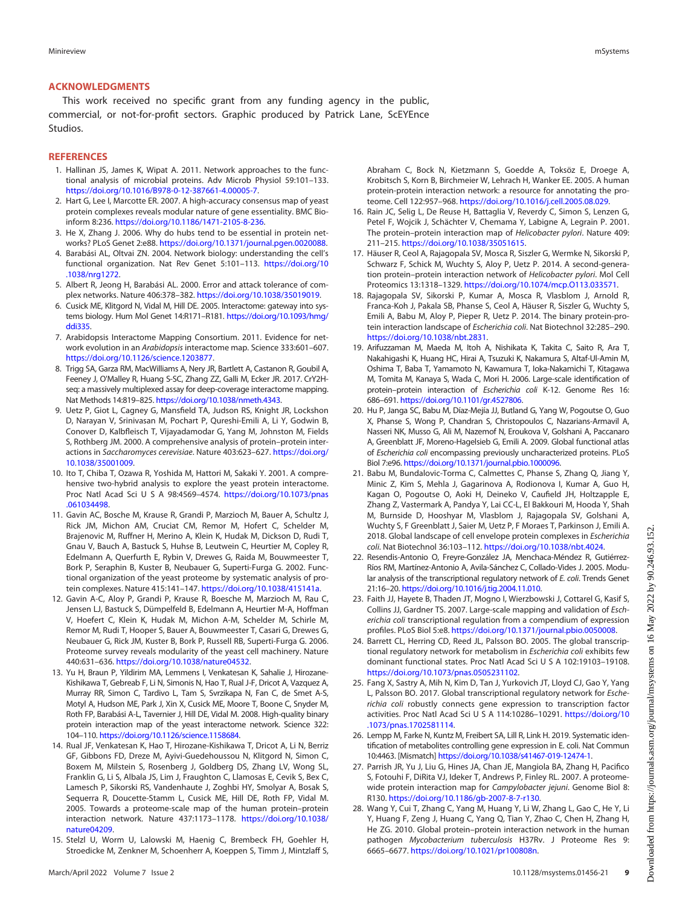#### ACKNOWLEDGMENTS

This work received no specific grant from any funding agency in the public, commercial, or not-for-profit sectors. Graphic produced by Patrick Lane, ScEYEnce Studios.

#### **REFERENCES**

- <span id="page-8-0"></span>1. Hallinan JS, James K, Wipat A. 2011. Network approaches to the functional analysis of microbial proteins. Adv Microb Physiol 59:101–133. <https://doi.org/10.1016/B978-0-12-387661-4.00005-7>.
- <span id="page-8-1"></span>2. Hart G, Lee I, Marcotte ER. 2007. A high-accuracy consensus map of yeast protein complexes reveals modular nature of gene essentiality. BMC Bioinform 8:236. [https://doi.org/10.1186/1471-2105-8-236.](https://doi.org/10.1186/1471-2105-8-236)
- <span id="page-8-16"></span>3. He X, Zhang J. 2006. Why do hubs tend to be essential in protein networks? PLoS Genet 2:e88. [https://doi.org/10.1371/journal.pgen.0020088.](https://doi.org/10.1371/journal.pgen.0020088)
- <span id="page-8-17"></span>4. Barabási AL, Oltvai ZN. 2004. Network biology: understanding the cell's functional organization. Nat Rev Genet 5:101–113. [https://doi.org/10](https://doi.org/10.1038/nrg1272) [.1038/nrg1272.](https://doi.org/10.1038/nrg1272)
- <span id="page-8-2"></span>5. Albert R, Jeong H, Barabási AL. 2000. Error and attack tolerance of complex networks. Nature 406:378–382. <https://doi.org/10.1038/35019019>.
- <span id="page-8-3"></span>6. Cusick ME, Klitgord N, Vidal M, Hill DE. 2005. Interactome: gateway into systems biology. Hum Mol Genet 14:R171–R181. [https://doi.org/10.1093/hmg/](https://doi.org/10.1093/hmg/ddi335) [ddi335.](https://doi.org/10.1093/hmg/ddi335)
- <span id="page-8-4"></span>7. Arabidopsis Interactome Mapping Consortium. 2011. Evidence for network evolution in an Arabidopsis interactome map. Science 333:601–607. [https://doi.org/10.1126/science.1203877.](https://doi.org/10.1126/science.1203877)
- 8. Trigg SA, Garza RM, MacWilliams A, Nery JR, Bartlett A, Castanon R, Goubil A, Feeney J, O'Malley R, Huang S-SC, Zhang ZZ, Galli M, Ecker JR. 2017. CrY2Hseq: a massively multiplexed assay for deep-coverage interactome mapping. Nat Methods 14:819–825. <https://doi.org/10.1038/nmeth.4343>.
- 9. Uetz P, Giot L, Cagney G, Mansfield TA, Judson RS, Knight JR, Lockshon D, Narayan V, Srinivasan M, Pochart P, Qureshi-Emili A, Li Y, Godwin B, Conover D, Kalbfleisch T, Vijayadamodar G, Yang M, Johnston M, Fields S, Rothberg JM. 2000. A comprehensive analysis of protein–protein interactions in Saccharomyces cerevisiae. Nature 403:623–627. [https://doi.org/](https://doi.org/10.1038/35001009) [10.1038/35001009.](https://doi.org/10.1038/35001009)
- <span id="page-8-18"></span>10. Ito T, Chiba T, Ozawa R, Yoshida M, Hattori M, Sakaki Y. 2001. A comprehensive two-hybrid analysis to explore the yeast protein interactome. Proc Natl Acad Sci U S A 98:4569–4574. [https://doi.org/10.1073/pnas](https://doi.org/10.1073/pnas.061034498) [.061034498](https://doi.org/10.1073/pnas.061034498).
- 11. Gavin AC, Bosche M, Krause R, Grandi P, Marzioch M, Bauer A, Schultz J, Rick JM, Michon AM, Cruciat CM, Remor M, Hofert C, Schelder M, Brajenovic M, Ruffner H, Merino A, Klein K, Hudak M, Dickson D, Rudi T, Gnau V, Bauch A, Bastuck S, Huhse B, Leutwein C, Heurtier M, Copley R, Edelmann A, Querfurth E, Rybin V, Drewes G, Raida M, Bouwmeester T, Bork P, Seraphin B, Kuster B, Neubauer G, Superti-Furga G. 2002. Functional organization of the yeast proteome by systematic analysis of protein complexes. Nature 415:141–147. <https://doi.org/10.1038/415141a>.
- 12. Gavin A-C, Aloy P, Grandi P, Krause R, Boesche M, Marzioch M, Rau C, Jensen LJ, Bastuck S, Dümpelfeld B, Edelmann A, Heurtier M-A, Hoffman V, Hoefert C, Klein K, Hudak M, Michon A-M, Schelder M, Schirle M, Remor M, Rudi T, Hooper S, Bauer A, Bouwmeester T, Casari G, Drewes G, Neubauer G, Rick JM, Kuster B, Bork P, Russell RB, Superti-Furga G. 2006. Proteome survey reveals modularity of the yeast cell machinery. Nature 440:631–636. <https://doi.org/10.1038/nature04532>.
- 13. Yu H, Braun P, Yildirim MA, Lemmens I, Venkatesan K, Sahalie J, Hirozane-Kishikawa T, Gebreab F, Li N, Simonis N, Hao T, Rual J-F, Dricot A, Vazquez A, Murray RR, Simon C, Tardivo L, Tam S, Svrzikapa N, Fan C, de Smet A-S, Motyl A, Hudson ME, Park J, Xin X, Cusick ME, Moore T, Boone C, Snyder M, Roth FP, Barabási A-L, Tavernier J, Hill DE, Vidal M. 2008. High-quality binary protein interaction map of the yeast interactome network. Science 322: 104–110. <https://doi.org/10.1126/science.1158684>.
- 14. Rual JF, Venkatesan K, Hao T, Hirozane-Kishikawa T, Dricot A, Li N, Berriz GF, Gibbons FD, Dreze M, Ayivi-Guedehoussou N, Klitgord N, Simon C, Boxem M, Milstein S, Rosenberg J, Goldberg DS, Zhang LV, Wong SL, Franklin G, Li S, Albala JS, Lim J, Fraughton C, Llamosas E, Cevik S, Bex C, Lamesch P, Sikorski RS, Vandenhaute J, Zoghbi HY, Smolyar A, Bosak S, Sequerra R, Doucette-Stamm L, Cusick ME, Hill DE, Roth FP, Vidal M. 2005. Towards a proteome-scale map of the human protein–protein interaction network. Nature 437:1173–1178. [https://doi.org/10.1038/](https://doi.org/10.1038/nature04209) [nature04209](https://doi.org/10.1038/nature04209).
- <span id="page-8-5"></span>15. Stelzl U, Worm U, Lalowski M, Haenig C, Brembeck FH, Goehler H, Stroedicke M, Zenkner M, Schoenherr A, Koeppen S, Timm J, Mintzlaff S,

Abraham C, Bock N, Kietzmann S, Goedde A, Toksöz E, Droege A, Krobitsch S, Korn B, Birchmeier W, Lehrach H, Wanker EE. 2005. A human protein-protein interaction network: a resource for annotating the proteome. Cell 122:957–968. [https://doi.org/10.1016/j.cell.2005.08.029.](https://doi.org/10.1016/j.cell.2005.08.029)

- <span id="page-8-6"></span>16. Rain JC, Selig L, De Reuse H, Battaglia V, Reverdy C, Simon S, Lenzen G, Petel F, Wojcik J, Schächter V, Chemama Y, Labigne A, Legrain P. 2001. The protein–protein interaction map of Helicobacter pylori. Nature 409: 211–215. <https://doi.org/10.1038/35051615>.
- <span id="page-8-7"></span>17. Häuser R, Ceol A, Rajagopala SV, Mosca R, Siszler G, Wermke N, Sikorski P, Schwarz F, Schick M, Wuchty S, Aloy P, Uetz P. 2014. A second-generation protein–protein interaction network of Helicobacter pylori. Mol Cell Proteomics 13:1318–1329. <https://doi.org/10.1074/mcp.O113.033571>.
- <span id="page-8-8"></span>18. Rajagopala SV, Sikorski P, Kumar A, Mosca R, Vlasblom J, Arnold R, Franca-Koh J, Pakala SB, Phanse S, Ceol A, Häuser R, Siszler G, Wuchty S, Emili A, Babu M, Aloy P, Pieper R, Uetz P. 2014. The binary protein-protein interaction landscape of Escherichia coli. Nat Biotechnol 32:285–290. <https://doi.org/10.1038/nbt.2831>.
- <span id="page-8-9"></span>19. Arifuzzaman M, Maeda M, Itoh A, Nishikata K, Takita C, Saito R, Ara T, Nakahigashi K, Huang HC, Hirai A, Tsuzuki K, Nakamura S, Altaf-Ul-Amin M, Oshima T, Baba T, Yamamoto N, Kawamura T, Ioka-Nakamichi T, Kitagawa M, Tomita M, Kanaya S, Wada C, Mori H. 2006. Large-scale identification of protein–protein interaction of Escherichia coli K-12. Genome Res 16: 686–691. [https://doi.org/10.1101/gr.4527806.](https://doi.org/10.1101/gr.4527806)
- <span id="page-8-10"></span>20. Hu P, Janga SC, Babu M, Díaz-Mejía JJ, Butland G, Yang W, Pogoutse O, Guo X, Phanse S, Wong P, Chandran S, Christopoulos C, Nazarians-Armavil A, Nasseri NK, Musso G, Ali M, Nazemof N, Eroukova V, Golshani A, Paccanaro A, Greenblatt JF, Moreno-Hagelsieb G, Emili A. 2009. Global functional atlas of Escherichia coli encompassing previously uncharacterized proteins. PLoS Biol 7:e96. [https://doi.org/10.1371/journal.pbio.1000096.](https://doi.org/10.1371/journal.pbio.1000096)
- <span id="page-8-11"></span>21. Babu M, Bundalovic-Torma C, Calmettes C, Phanse S, Zhang Q, Jiang Y, Minic Z, Kim S, Mehla J, Gagarinova A, Rodionova I, Kumar A, Guo H, Kagan O, Pogoutse O, Aoki H, Deineko V, Caufield JH, Holtzapple E, Zhang Z, Vastermark A, Pandya Y, Lai CC-L, El Bakkouri M, Hooda Y, Shah M, Burnside D, Hooshyar M, Vlasblom J, Rajagopala SV, Golshani A, Wuchty S, F Greenblatt J, Saier M, Uetz P, F Moraes T, Parkinson J, Emili A. 2018. Global landscape of cell envelope protein complexes in Escherichia coli. Nat Biotechnol 36:103–112. <https://doi.org/10.1038/nbt.4024>.
- <span id="page-8-12"></span>22. Resendis-Antonio O, Freyre-González JA, Menchaca-Méndez R, Gutiérrez-Ríos RM, Martínez-Antonio A, Avila-Sánchez C, Collado-Vides J. 2005. Modular analysis of the transcriptional regulatory network of E. coli. Trends Genet 21:16–20. [https://doi.org/10.1016/j.tig.2004.11.010.](https://doi.org/10.1016/j.tig.2004.11.010)
- 23. Faith JJ, Hayete B, Thaden JT, Mogno I, Wierzbowski J, Cottarel G, Kasif S, Collins JJ, Gardner TS. 2007. Large-scale mapping and validation of Escherichia coli transcriptional regulation from a compendium of expression profiles. PLoS Biol 5:e8. <https://doi.org/10.1371/journal.pbio.0050008>.
- 24. Barrett CL, Herring CD, Reed JL, Palsson BO. 2005. The global transcriptional regulatory network for metabolism in Escherichia coli exhibits few dominant functional states. Proc Natl Acad Sci U S A 102:19103–19108. [https://doi.org/10.1073/pnas.0505231102.](https://doi.org/10.1073/pnas.0505231102)
- 25. Fang X, Sastry A, Mih N, Kim D, Tan J, Yurkovich JT, Lloyd CJ, Gao Y, Yang L, Palsson BO. 2017. Global transcriptional regulatory network for Escherichia coli robustly connects gene expression to transcription factor activities. Proc Natl Acad Sci U S A 114:10286–10291. [https://doi.org/10](https://doi.org/10.1073/pnas.1702581114) [.1073/pnas.1702581114.](https://doi.org/10.1073/pnas.1702581114)
- <span id="page-8-13"></span>26. Lempp M, Farke N, Kuntz M, Freibert SA, Lill R, Link H. 2019. Systematic identification of metabolites controlling gene expression in E. coli. Nat Commun 10:4463. [Mismatch] [https://doi.org/10.1038/s41467-019-12474-1.](https://doi.org/10.1038/s41467-019-12474-1)
- <span id="page-8-14"></span>27. Parrish JR, Yu J, Liu G, Hines JA, Chan JE, Mangiola BA, Zhang H, Pacifico S, Fotouhi F, DiRita VJ, Ideker T, Andrews P, Finley RL. 2007. A proteomewide protein interaction map for Campylobacter jejuni. Genome Biol 8: R130. <https://doi.org/10.1186/gb-2007-8-7-r130>.
- <span id="page-8-15"></span>28. Wang Y, Cui T, Zhang C, Yang M, Huang Y, Li W, Zhang L, Gao C, He Y, Li Y, Huang F, Zeng J, Huang C, Yang Q, Tian Y, Zhao C, Chen H, Zhang H, He ZG. 2010. Global protein–protein interaction network in the human pathogen Mycobacterium tuberculosis H37Rv. J Proteome Res 9: 6665–6677. <https://doi.org/10.1021/pr100808n>.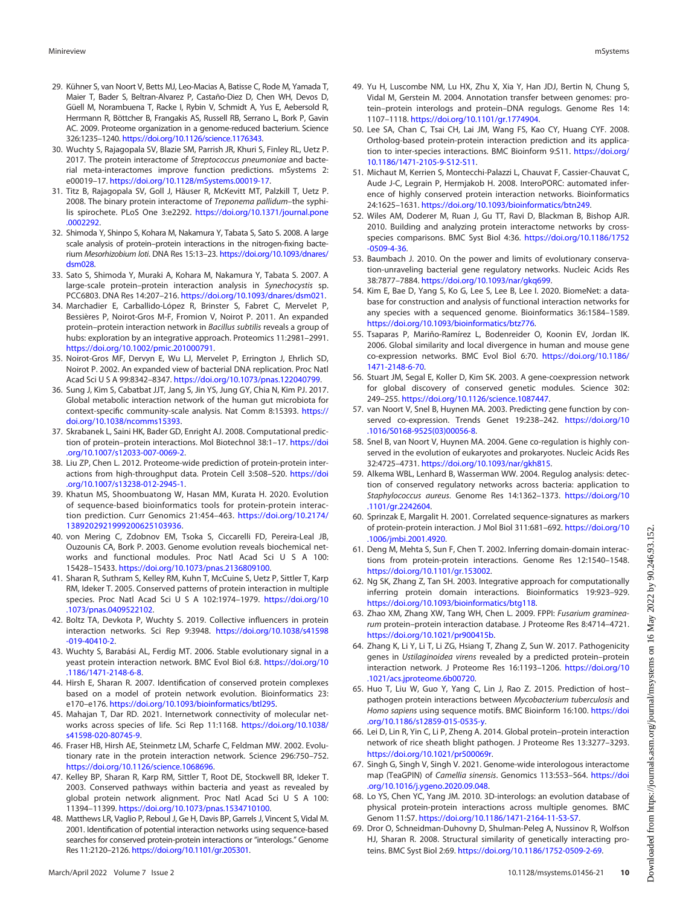- <span id="page-9-0"></span>29. Kühner S, van Noort V, Betts MJ, Leo-Macias A, Batisse C, Rode M, Yamada T, Maier T, Bader S, Beltran-Alvarez P, Castaño-Diez D, Chen WH, Devos D, Güell M, Norambuena T, Racke I, Rybin V, Schmidt A, Yus E, Aebersold R, Herrmann R, Böttcher B, Frangakis AS, Russell RB, Serrano L, Bork P, Gavin AC. 2009. Proteome organization in a genome-reduced bacterium. Science 326:1235–1240. <https://doi.org/10.1126/science.1176343>.
- <span id="page-9-1"></span>30. Wuchty S, Rajagopala SV, Blazie SM, Parrish JR, Khuri S, Finley RL, Uetz P. 2017. The protein interactome of Streptococcus pneumoniae and bacterial meta-interactomes improve function predictions. mSystems 2: e00019–17. [https://doi.org/10.1128/mSystems.00019-17.](https://doi.org/10.1128/mSystems.00019-17)
- <span id="page-9-2"></span>31. Titz B, Rajagopala SV, Goll J, Häuser R, McKevitt MT, Palzkill T, Uetz P. 2008. The binary protein interactome of Treponema pallidum-the syphilis spirochete. PLoS One 3:e2292. [https://doi.org/10.1371/journal.pone](https://doi.org/10.1371/journal.pone.0002292) [.0002292.](https://doi.org/10.1371/journal.pone.0002292)
- <span id="page-9-3"></span>32. Shimoda Y, Shinpo S, Kohara M, Nakamura Y, Tabata S, Sato S. 2008. A large scale analysis of protein–protein interactions in the nitrogen-fixing bacterium Mesorhizobium loti. DNA Res 15:13–23. [https://doi.org/10.1093/dnares/](https://doi.org/10.1093/dnares/dsm028) [dsm028](https://doi.org/10.1093/dnares/dsm028).
- <span id="page-9-4"></span>33. Sato S, Shimoda Y, Muraki A, Kohara M, Nakamura Y, Tabata S. 2007. A large-scale protein–protein interaction analysis in Synechocystis sp. PCC6803. DNA Res 14:207–216. <https://doi.org/10.1093/dnares/dsm021>.
- <span id="page-9-5"></span>34. Marchadier E, Carballido-López R, Brinster S, Fabret C, Mervelet P, Bessières P, Noirot-Gros M-F, Fromion V, Noirot P. 2011. An expanded protein–protein interaction network in Bacillus subtilis reveals a group of hubs: exploration by an integrative approach. Proteomics 11:2981–2991. <https://doi.org/10.1002/pmic.201000791>.
- <span id="page-9-6"></span>35. Noirot-Gros MF, Dervyn E, Wu LJ, Mervelet P, Errington J, Ehrlich SD, Noirot P. 2002. An expanded view of bacterial DNA replication. Proc Natl Acad Sci U S A 99:8342–8347. [https://doi.org/10.1073/pnas.122040799.](https://doi.org/10.1073/pnas.122040799)
- <span id="page-9-7"></span>36. Sung J, Kim S, Cabatbat JJT, Jang S, Jin YS, Jung GY, Chia N, Kim PJ. 2017. Global metabolic interaction network of the human gut microbiota for context-specific community-scale analysis. Nat Comm 8:15393. [https://](https://doi.org/10.1038/ncomms15393) [doi.org/10.1038/ncomms15393.](https://doi.org/10.1038/ncomms15393)
- <span id="page-9-8"></span>37. Skrabanek L, Saini HK, Bader GD, Enright AJ. 2008. Computational prediction of protein–protein interactions. Mol Biotechnol 38:1–17. [https://doi](https://doi.org/10.1007/s12033-007-0069-2) [.org/10.1007/s12033-007-0069-2](https://doi.org/10.1007/s12033-007-0069-2).
- <span id="page-9-9"></span>38. Liu ZP, Chen L. 2012. Proteome-wide prediction of protein-protein interactions from high-throughput data. Protein Cell 3:508–520. [https://doi](https://doi.org/10.1007/s13238-012-2945-1) [.org/10.1007/s13238-012-2945-1](https://doi.org/10.1007/s13238-012-2945-1).
- <span id="page-9-10"></span>39. Khatun MS, Shoombuatong W, Hasan MM, Kurata H. 2020. Evolution of sequence-based bioinformatics tools for protein-protein interaction prediction. Curr Genomics 21:454–463. [https://doi.org/10.2174/](https://doi.org/10.2174/1389202921999200625103936) [1389202921999200625103936.](https://doi.org/10.2174/1389202921999200625103936)
- <span id="page-9-11"></span>40. von Mering C, Zdobnov EM, Tsoka S, Ciccarelli FD, Pereira-Leal JB, Ouzounis CA, Bork P. 2003. Genome evolution reveals biochemical networks and functional modules. Proc Natl Acad Sci U S A 100: 15428–15433. <https://doi.org/10.1073/pnas.2136809100>.
- <span id="page-9-30"></span>41. Sharan R, Suthram S, Kelley RM, Kuhn T, McCuine S, Uetz P, Sittler T, Karp RM, Ideker T. 2005. Conserved patterns of protein interaction in multiple species. Proc Natl Acad Sci U S A 102:1974–1979. [https://doi.org/10](https://doi.org/10.1073/pnas.0409522102) [.1073/pnas.0409522102.](https://doi.org/10.1073/pnas.0409522102)
- 42. Boltz TA, Devkota P, Wuchty S. 2019. Collective influencers in protein interaction networks. Sci Rep 9:3948. [https://doi.org/10.1038/s41598](https://doi.org/10.1038/s41598-019-40410-2) [-019-40410-2.](https://doi.org/10.1038/s41598-019-40410-2)
- 43. Wuchty S, Barabási AL, Ferdig MT. 2006. Stable evolutionary signal in a yeast protein interaction network. BMC Evol Biol 6:8. [https://doi.org/10](https://doi.org/10.1186/1471-2148-6-8) [.1186/1471-2148-6-8](https://doi.org/10.1186/1471-2148-6-8).
- 44. Hirsh E, Sharan R. 2007. Identification of conserved protein complexes based on a model of protein network evolution. Bioinformatics 23: e170–e176. [https://doi.org/10.1093/bioinformatics/btl295.](https://doi.org/10.1093/bioinformatics/btl295)
- <span id="page-9-12"></span>45. Mahajan T, Dar RD. 2021. Internetwork connectivity of molecular networks across species of life. Sci Rep 11:1168. [https://doi.org/10.1038/](https://doi.org/10.1038/s41598-020-80745-9) [s41598-020-80745-9](https://doi.org/10.1038/s41598-020-80745-9).
- <span id="page-9-13"></span>46. Fraser HB, Hirsh AE, Steinmetz LM, Scharfe C, Feldman MW. 2002. Evolutionary rate in the protein interaction network. Science 296:750–752. <https://doi.org/10.1126/science.1068696>.
- <span id="page-9-14"></span>47. Kelley BP, Sharan R, Karp RM, Sittler T, Root DE, Stockwell BR, Ideker T. 2003. Conserved pathways within bacteria and yeast as revealed by global protein network alignment. Proc Natl Acad Sci U S A 100: 11394–11399. <https://doi.org/10.1073/pnas.1534710100>.
- <span id="page-9-15"></span>48. Matthews LR, Vaglio P, Reboul J, Ge H, Davis BP, Garrels J, Vincent S, Vidal M. 2001. Identification of potential interaction networks using sequence-based searches for conserved protein-protein interactions or "interologs." Genome Res 11:2120–2126. <https://doi.org/10.1101/gr.205301>.
- <span id="page-9-17"></span>49. Yu H, Luscombe NM, Lu HX, Zhu X, Xia Y, Han JDJ, Bertin N, Chung S, Vidal M, Gerstein M. 2004. Annotation transfer between genomes: protein–protein interologs and protein–DNA regulogs. Genome Res 14: 1107–1118. <https://doi.org/10.1101/gr.1774904>.
- 50. Lee SA, Chan C, Tsai CH, Lai JM, Wang FS, Kao CY, Huang CYF. 2008. Ortholog-based protein-protein interaction prediction and its application to inter-species interactions. BMC Bioinform 9:S11. [https://doi.org/](https://doi.org/10.1186/1471-2105-9-S12-S11) [10.1186/1471-2105-9-S12-S11](https://doi.org/10.1186/1471-2105-9-S12-S11).
- <span id="page-9-31"></span>51. Michaut M, Kerrien S, Montecchi-Palazzi L, Chauvat F, Cassier-Chauvat C, Aude J-C, Legrain P, Hermjakob H. 2008. InteroPORC: automated inference of highly conserved protein interaction networks. Bioinformatics 24:1625–1631. [https://doi.org/10.1093/bioinformatics/btn249.](https://doi.org/10.1093/bioinformatics/btn249)
- <span id="page-9-16"></span>52. Wiles AM, Doderer M, Ruan J, Gu TT, Ravi D, Blackman B, Bishop AJR. 2010. Building and analyzing protein interactome networks by crossspecies comparisons. BMC Syst Biol 4:36. [https://doi.org/10.1186/1752](https://doi.org/10.1186/1752-0509-4-36) [-0509-4-36](https://doi.org/10.1186/1752-0509-4-36).
- <span id="page-9-18"></span>53. Baumbach J. 2010. On the power and limits of evolutionary conservation-unraveling bacterial gene regulatory networks. Nucleic Acids Res 38:7877–7884. [https://doi.org/10.1093/nar/gkq699.](https://doi.org/10.1093/nar/gkq699)
- <span id="page-9-19"></span>54. Kim E, Bae D, Yang S, Ko G, Lee S, Lee B, Lee I. 2020. BiomeNet: a database for construction and analysis of functional interaction networks for any species with a sequenced genome. Bioinformatics 36:1584–1589. [https://doi.org/10.1093/bioinformatics/btz776.](https://doi.org/10.1093/bioinformatics/btz776)
- <span id="page-9-20"></span>55. Tsaparas P, Mariño-Ramírez L, Bodenreider O, Koonin EV, Jordan IK. 2006. Global similarity and local divergence in human and mouse gene co-expression networks. BMC Evol Biol 6:70. [https://doi.org/10.1186/](https://doi.org/10.1186/1471-2148-6-70) [1471-2148-6-70.](https://doi.org/10.1186/1471-2148-6-70)
- 56. Stuart JM, Segal E, Koller D, Kim SK. 2003. A gene-coexpression network for global discovery of conserved genetic modules. Science 302: 249–255. <https://doi.org/10.1126/science.1087447>.
- 57. van Noort V, Snel B, Huynen MA. 2003. Predicting gene function by conserved co-expression. Trends Genet 19:238–242. [https://doi.org/10](https://doi.org/10.1016/S0168-9525(03)00056-8) [.1016/S0168-9525\(03\)00056-8.](https://doi.org/10.1016/S0168-9525(03)00056-8)
- 58. Snel B, van Noort V, Huynen MA. 2004. Gene co-regulation is highly conserved in the evolution of eukaryotes and prokaryotes. Nucleic Acids Res 32:4725–4731. [https://doi.org/10.1093/nar/gkh815.](https://doi.org/10.1093/nar/gkh815)
- <span id="page-9-21"></span>59. Alkema WBL, Lenhard B, Wasserman WW. 2004. Regulog analysis: detection of conserved regulatory networks across bacteria: application to Staphylococcus aureus. Genome Res 14:1362–1373. [https://doi.org/10](https://doi.org/10.1101/gr.2242604) [.1101/gr.2242604.](https://doi.org/10.1101/gr.2242604)
- <span id="page-9-22"></span>60. Sprinzak E, Margalit H. 2001. Correlated sequence-signatures as markers of protein-protein interaction. J Mol Biol 311:681–692. [https://doi.org/10](https://doi.org/10.1006/jmbi.2001.4920) [.1006/jmbi.2001.4920.](https://doi.org/10.1006/jmbi.2001.4920)
- <span id="page-9-23"></span>61. Deng M, Mehta S, Sun F, Chen T. 2002. Inferring domain-domain interactions from protein-protein interactions. Genome Res 12:1540–1548. [https://doi.org/10.1101/gr.153002.](https://doi.org/10.1101/gr.153002)
- <span id="page-9-24"></span>62. Ng SK, Zhang Z, Tan SH. 2003. Integrative approach for computationally inferring protein domain interactions. Bioinformatics 19:923–929. [https://doi.org/10.1093/bioinformatics/btg118.](https://doi.org/10.1093/bioinformatics/btg118)
- <span id="page-9-25"></span>63. Zhao XM, Zhang XW, Tang WH, Chen L. 2009. FPPI: Fusarium graminearum protein–protein interaction database. J Proteome Res 8:4714–4721. [https://doi.org/10.1021/pr900415b.](https://doi.org/10.1021/pr900415b)
- <span id="page-9-29"></span>64. Zhang K, Li Y, Li T, Li ZG, Hsiang T, Zhang Z, Sun W. 2017. Pathogenicity genes in Ustilaginoidea virens revealed by a predicted protein–protein interaction network. J Proteome Res 16:1193–1206. [https://doi.org/10](https://doi.org/10.1021/acs.jproteome.6b00720) [.1021/acs.jproteome.6b00720](https://doi.org/10.1021/acs.jproteome.6b00720).
- <span id="page-9-32"></span>65. Huo T, Liu W, Guo Y, Yang C, Lin J, Rao Z. 2015. Prediction of host– pathogen protein interactions between Mycobacterium tuberculosis and Homo sapiens using sequence motifs. BMC Bioinform 16:100. [https://doi](https://doi.org/10.1186/s12859-015-0535-y) [.org/10.1186/s12859-015-0535-y.](https://doi.org/10.1186/s12859-015-0535-y)
- 66. Lei D, Lin R, Yin C, Li P, Zheng A. 2014. Global protein–protein interaction network of rice sheath blight pathogen. J Proteome Res 13:3277–3293. [https://doi.org/10.1021/pr500069r.](https://doi.org/10.1021/pr500069r)
- <span id="page-9-26"></span>67. Singh G, Singh V, Singh V. 2021. Genome-wide interologous interactome map (TeaGPIN) of Camellia sinensis. Genomics 113:553–564. [https://doi](https://doi.org/10.1016/j.ygeno.2020.09.048) [.org/10.1016/j.ygeno.2020.09.048.](https://doi.org/10.1016/j.ygeno.2020.09.048)
- <span id="page-9-27"></span>68. Lo YS, Chen YC, Yang JM. 2010. 3D-interologs: an evolution database of physical protein-protein interactions across multiple genomes. BMC Genom 11:S7. <https://doi.org/10.1186/1471-2164-11-S3-S7>.
- <span id="page-9-28"></span>69. Dror O, Schneidman-Duhovny D, Shulman-Peleg A, Nussinov R, Wolfson HJ, Sharan R. 2008. Structural similarity of genetically interacting proteins. BMC Syst Biol 2:69. <https://doi.org/10.1186/1752-0509-2-69>.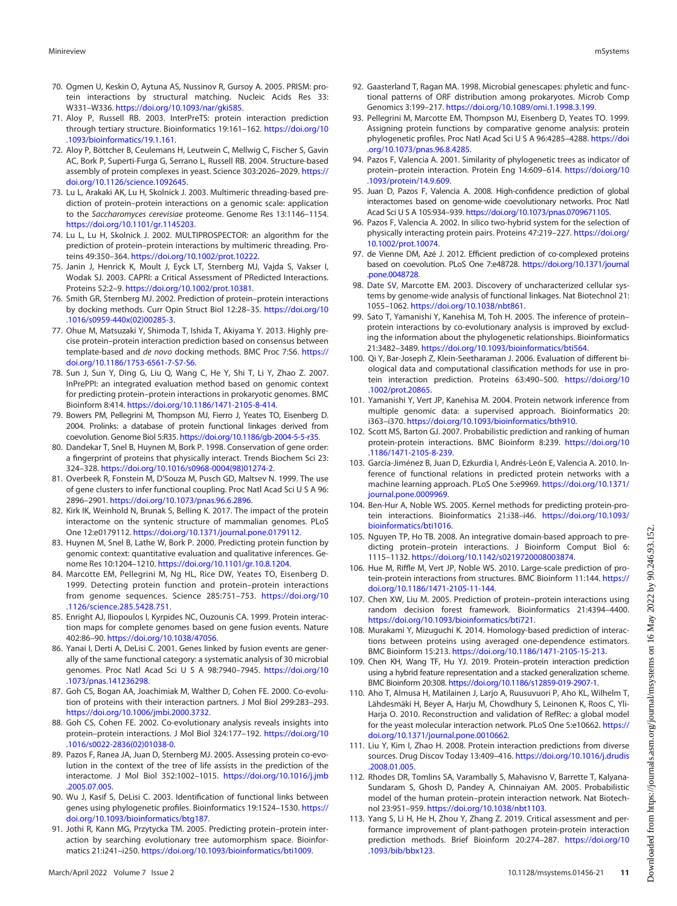- <span id="page-10-0"></span>70. Ogmen U, Keskin O, Aytuna AS, Nussinov R, Gursoy A. 2005. PRISM: protein interactions by structural matching. Nucleic Acids Res 33: W331–W336. <https://doi.org/10.1093/nar/gki585>.
- <span id="page-10-1"></span>71. Aloy P, Russell RB. 2003. InterPreTS: protein interaction prediction through tertiary structure. Bioinformatics 19:161–162. [https://doi.org/10](https://doi.org/10.1093/bioinformatics/19.1.161) [.1093/bioinformatics/19.1.161.](https://doi.org/10.1093/bioinformatics/19.1.161)
- <span id="page-10-2"></span>72. Aloy P, Böttcher B, Ceulemans H, Leutwein C, Mellwig C, Fischer S, Gavin AC, Bork P, Superti-Furga G, Serrano L, Russell RB. 2004. Structure-based assembly of protein complexes in yeast. Science 303:2026–2029. [https://](https://doi.org/10.1126/science.1092645) [doi.org/10.1126/science.1092645](https://doi.org/10.1126/science.1092645).
- <span id="page-10-3"></span>73. Lu L, Arakaki AK, Lu H, Skolnick J. 2003. Multimeric threading-based prediction of protein–protein interactions on a genomic scale: application to the Saccharomyces cerevisiae proteome. Genome Res 13:1146–1154. [https://doi.org/10.1101/gr.1145203.](https://doi.org/10.1101/gr.1145203)
- <span id="page-10-4"></span>74. Lu L, Lu H, Skolnick J. 2002. MULTIPROSPECTOR: an algorithm for the prediction of protein–protein interactions by multimeric threading. Proteins 49:350–364. [https://doi.org/10.1002/prot.10222.](https://doi.org/10.1002/prot.10222)
- <span id="page-10-5"></span>75. Janin J, Henrick K, Moult J, Eyck LT, Sternberg MJ, Vajda S, Vakser I, Wodak SJ. 2003. CAPRI: a Critical Assessment of PRedicted Interactions. Proteins 52:2–9. [https://doi.org/10.1002/prot.10381.](https://doi.org/10.1002/prot.10381)
- <span id="page-10-6"></span>76. Smith GR, Sternberg MJ. 2002. Prediction of protein–protein interactions by docking methods. Curr Opin Struct Biol 12:28–35. [https://doi.org/10](https://doi.org/10.1016/s0959-440x(02)00285-3) [.1016/s0959-440x\(02\)00285-3.](https://doi.org/10.1016/s0959-440x(02)00285-3)
- <span id="page-10-7"></span>77. Ohue M, Matsuzaki Y, Shimoda T, Ishida T, Akiyama Y. 2013. Highly precise protein–protein interaction prediction based on consensus between template-based and de novo docking methods. BMC Proc 7:S6. [https://](https://doi.org/10.1186/1753-6561-7-S7-S6) [doi.org/10.1186/1753-6561-7-S7-S6](https://doi.org/10.1186/1753-6561-7-S7-S6).
- <span id="page-10-8"></span>78. Sun J, Sun Y, Ding G, Liu Q, Wang C, He Y, Shi T, Li Y, Zhao Z. 2007. InPrePPI: an integrated evaluation method based on genomic context for predicting protein–protein interactions in prokaryotic genomes. BMC Bioinform 8:414. <https://doi.org/10.1186/1471-2105-8-414>.
- <span id="page-10-9"></span>79. Bowers PM, Pellegrini M, Thompson MJ, Fierro J, Yeates TO, Eisenberg D. 2004. Prolinks: a database of protein functional linkages derived from coevolution. Genome Biol 5:R35. <https://doi.org/10.1186/gb-2004-5-5-r35>.
- <span id="page-10-10"></span>80. Dandekar T, Snel B, Huynen M, Bork P. 1998. Conservation of gene order: a fingerprint of proteins that physically interact. Trends Biochem Sci 23: 324–328. [https://doi.org/10.1016/s0968-0004\(98\)01274-2.](https://doi.org/10.1016/s0968-0004(98)01274-2)
- <span id="page-10-11"></span>81. Overbeek R, Fonstein M, D'Souza M, Pusch GD, Maltsev N. 1999. The use of gene clusters to infer functional coupling. Proc Natl Acad Sci U S A 96: 2896–2901. [https://doi.org/10.1073/pnas.96.6.2896.](https://doi.org/10.1073/pnas.96.6.2896)
- <span id="page-10-12"></span>82. Kirk IK, Weinhold N, Brunak S, Belling K. 2017. The impact of the protein interactome on the syntenic structure of mammalian genomes. PLoS One 12:e0179112. [https://doi.org/10.1371/journal.pone.0179112.](https://doi.org/10.1371/journal.pone.0179112)
- <span id="page-10-13"></span>83. Huynen M, Snel B, Lathe W, Bork P. 2000. Predicting protein function by genomic context: quantitative evaluation and qualitative inferences. Genome Res 10:1204–1210. <https://doi.org/10.1101/gr.10.8.1204>.
- <span id="page-10-14"></span>84. Marcotte EM, Pellegrini M, Ng HL, Rice DW, Yeates TO, Eisenberg D. 1999. Detecting protein function and protein–protein interactions from genome sequences. Science 285:751–753. [https://doi.org/10](https://doi.org/10.1126/science.285.5428.751) [.1126/science.285.5428.751.](https://doi.org/10.1126/science.285.5428.751)
- <span id="page-10-15"></span>85. Enright AJ, Iliopoulos I, Kyrpides NC, Ouzounis CA. 1999. Protein interaction maps for complete genomes based on gene fusion events. Nature 402:86–90. <https://doi.org/10.1038/47056>.
- <span id="page-10-16"></span>86. Yanai I, Derti A, DeLisi C. 2001. Genes linked by fusion events are generally of the same functional category: a systematic analysis of 30 microbial genomes. Proc Natl Acad Sci U S A 98:7940–7945. [https://doi.org/10](https://doi.org/10.1073/pnas.141236298) [.1073/pnas.141236298](https://doi.org/10.1073/pnas.141236298).
- <span id="page-10-17"></span>87. Goh CS, Bogan AA, Joachimiak M, Walther D, Cohen FE. 2000. Co-evolution of proteins with their interaction partners. J Mol Biol 299:283–293. [https://doi.org/10.1006/jmbi.2000.3732.](https://doi.org/10.1006/jmbi.2000.3732)
- <span id="page-10-18"></span>88. Goh CS, Cohen FE. 2002. Co-evolutionary analysis reveals insights into protein–protein interactions. J Mol Biol 324:177–192. [https://doi.org/10](https://doi.org/10.1016/s0022-2836(02)01038-0) [.1016/s0022-2836\(02\)01038-0](https://doi.org/10.1016/s0022-2836(02)01038-0).
- 89. Pazos F, Ranea JA, Juan D, Sternberg MJ. 2005. Assessing protein co-evolution in the context of the tree of life assists in the prediction of the interactome. J Mol Biol 352:1002–1015. [https://doi.org/10.1016/j.jmb](https://doi.org/10.1016/j.jmb.2005.07.005) [.2005.07.005.](https://doi.org/10.1016/j.jmb.2005.07.005)
- 90. Wu J, Kasif S, DeLisi C. 2003. Identification of functional links between genes using phylogenetic profiles. Bioinformatics 19:1524-1530. [https://](https://doi.org/10.1093/bioinformatics/btg187) [doi.org/10.1093/bioinformatics/btg187.](https://doi.org/10.1093/bioinformatics/btg187)
- <span id="page-10-19"></span>91. Jothi R, Kann MG, Przytycka TM. 2005. Predicting protein–protein interaction by searching evolutionary tree automorphism space. Bioinformatics 21:i241–i250. <https://doi.org/10.1093/bioinformatics/bti1009>.
- <span id="page-10-20"></span>92. Gaasterland T, Ragan MA. 1998. Microbial genescapes: phyletic and functional patterns of ORF distribution among prokaryotes. Microb Comp Genomics 3:199–217. [https://doi.org/10.1089/omi.1.1998.3.199.](https://doi.org/10.1089/omi.1.1998.3.199)
- <span id="page-10-21"></span>93. Pellegrini M, Marcotte EM, Thompson MJ, Eisenberg D, Yeates TO. 1999. Assigning protein functions by comparative genome analysis: protein phylogenetic profiles. Proc Natl Acad Sci U S A 96:4285–4288. [https://doi](https://doi.org/10.1073/pnas.96.8.4285) [.org/10.1073/pnas.96.8.4285.](https://doi.org/10.1073/pnas.96.8.4285)
- <span id="page-10-22"></span>94. Pazos F, Valencia A. 2001. Similarity of phylogenetic trees as indicator of protein–protein interaction. Protein Eng 14:609–614. [https://doi.org/10](https://doi.org/10.1093/protein/14.9.609) [.1093/protein/14.9.609.](https://doi.org/10.1093/protein/14.9.609)
- <span id="page-10-23"></span>95. Juan D, Pazos F, Valencia A. 2008. High-confidence prediction of global interactomes based on genome-wide coevolutionary networks. Proc Natl Acad Sci U S A 105:934–939. [https://doi.org/10.1073/pnas.0709671105.](https://doi.org/10.1073/pnas.0709671105)
- <span id="page-10-24"></span>96. Pazos F, Valencia A. 2002. In silico two-hybrid system for the selection of physically interacting protein pairs. Proteins 47:219–227. [https://doi.org/](https://doi.org/10.1002/prot.10074) [10.1002/prot.10074.](https://doi.org/10.1002/prot.10074)
- <span id="page-10-25"></span>97. de Vienne DM, Azé J. 2012. Efficient prediction of co-complexed proteins based on coevolution. PLoS One 7:e48728. [https://doi.org/10.1371/journal](https://doi.org/10.1371/journal.pone.0048728) [.pone.0048728](https://doi.org/10.1371/journal.pone.0048728).
- <span id="page-10-26"></span>98. Date SV, Marcotte EM. 2003. Discovery of uncharacterized cellular systems by genome-wide analysis of functional linkages. Nat Biotechnol 21: 1055–1062. [https://doi.org/10.1038/nbt861.](https://doi.org/10.1038/nbt861)
- <span id="page-10-27"></span>99. Sato T, Yamanishi Y, Kanehisa M, Toh H. 2005. The inference of protein– protein interactions by co-evolutionary analysis is improved by excluding the information about the phylogenetic relationships. Bioinformatics 21:3482–3489. <https://doi.org/10.1093/bioinformatics/bti564>.
- <span id="page-10-28"></span>100. Qi Y, Bar-Joseph Z, Klein-Seetharaman J. 2006. Evaluation of different biological data and computational classification methods for use in protein interaction prediction. Proteins 63:490–500. [https://doi.org/10](https://doi.org/10.1002/prot.20865) [.1002/prot.20865.](https://doi.org/10.1002/prot.20865)
- <span id="page-10-29"></span>101. Yamanishi Y, Vert JP, Kanehisa M. 2004. Protein network inference from multiple genomic data: a supervised approach. Bioinformatics 20: i363–i370. <https://doi.org/10.1093/bioinformatics/bth910>.
- 102. Scott MS, Barton GJ. 2007. Probabilistic prediction and ranking of human protein-protein interactions. BMC Bioinform 8:239. [https://doi.org/10](https://doi.org/10.1186/1471-2105-8-239) [.1186/1471-2105-8-239.](https://doi.org/10.1186/1471-2105-8-239)
- 103. García-Jiménez B, Juan D, Ezkurdia I, Andrés-León E, Valencia A. 2010. Inference of functional relations in predicted protein networks with a machine learning approach. PLoS One 5:e9969. [https://doi.org/10.1371/](https://doi.org/10.1371/journal.pone.0009969) [journal.pone.0009969.](https://doi.org/10.1371/journal.pone.0009969)
- 104. Ben-Hur A, Noble WS. 2005. Kernel methods for predicting protein-protein interactions. Bioinformatics 21:i38–i46. [https://doi.org/10.1093/](https://doi.org/10.1093/bioinformatics/bti1016) [bioinformatics/bti1016.](https://doi.org/10.1093/bioinformatics/bti1016)
- 105. Nguyen TP, Ho TB. 2008. An integrative domain-based approach to predicting protein–protein interactions. J Bioinform Comput Biol 6: 1115–1132. [https://doi.org/10.1142/s0219720008003874.](https://doi.org/10.1142/s0219720008003874)
- 106. Hue M, Riffle M, Vert JP, Noble WS. 2010. Large-scale prediction of protein-protein interactions from structures. BMC Bioinform 11:144. [https://](https://doi.org/10.1186/1471-2105-11-144) [doi.org/10.1186/1471-2105-11-144](https://doi.org/10.1186/1471-2105-11-144).
- 107. Chen XW, Liu M. 2005. Prediction of protein–protein interactions using random decision forest framework. Bioinformatics 21:4394–4400. <https://doi.org/10.1093/bioinformatics/bti721>.
- 108. Murakami Y, Mizuguchi K. 2014. Homology-based prediction of interactions between proteins using averaged one-dependence estimators. BMC Bioinform 15:213. <https://doi.org/10.1186/1471-2105-15-213>.
- <span id="page-10-30"></span>109. Chen KH, Wang TF, Hu YJ. 2019. Protein–protein interaction prediction using a hybrid feature representation and a stacked generalization scheme. BMC Bioinform 20:308. <https://doi.org/10.1186/s12859-019-2907-1>.
- <span id="page-10-31"></span>110. Aho T, Almusa H, Matilainen J, Larjo A, Ruusuvuori P, Aho KL, Wilhelm T, Lähdesmäki H, Beyer A, Harju M, Chowdhury S, Leinonen K, Roos C, Yli-Harja O. 2010. Reconstruction and validation of RefRec: a global model for the yeast molecular interaction network. PLoS One 5:e10662. [https://](https://doi.org/10.1371/journal.pone.0010662) [doi.org/10.1371/journal.pone.0010662.](https://doi.org/10.1371/journal.pone.0010662)
- <span id="page-10-32"></span>111. Liu Y, Kim I, Zhao H. 2008. Protein interaction predictions from diverse sources. Drug Discov Today 13:409–416. [https://doi.org/10.1016/j.drudis](https://doi.org/10.1016/j.drudis.2008.01.005) [.2008.01.005.](https://doi.org/10.1016/j.drudis.2008.01.005)
- <span id="page-10-33"></span>112. Rhodes DR, Tomlins SA, Varambally S, Mahavisno V, Barrette T, Kalyana-Sundaram S, Ghosh D, Pandey A, Chinnaiyan AM. 2005. Probabilistic model of the human protein–protein interaction network. Nat Biotechnol 23:951–959. [https://doi.org/10.1038/nbt1103.](https://doi.org/10.1038/nbt1103)
- <span id="page-10-34"></span>113. Yang S, Li H, He H, Zhou Y, Zhang Z. 2019. Critical assessment and performance improvement of plant-pathogen protein-protein interaction prediction methods. Brief Bioinform 20:274–287. [https://doi.org/10](https://doi.org/10.1093/bib/bbx123) [.1093/bib/bbx123](https://doi.org/10.1093/bib/bbx123).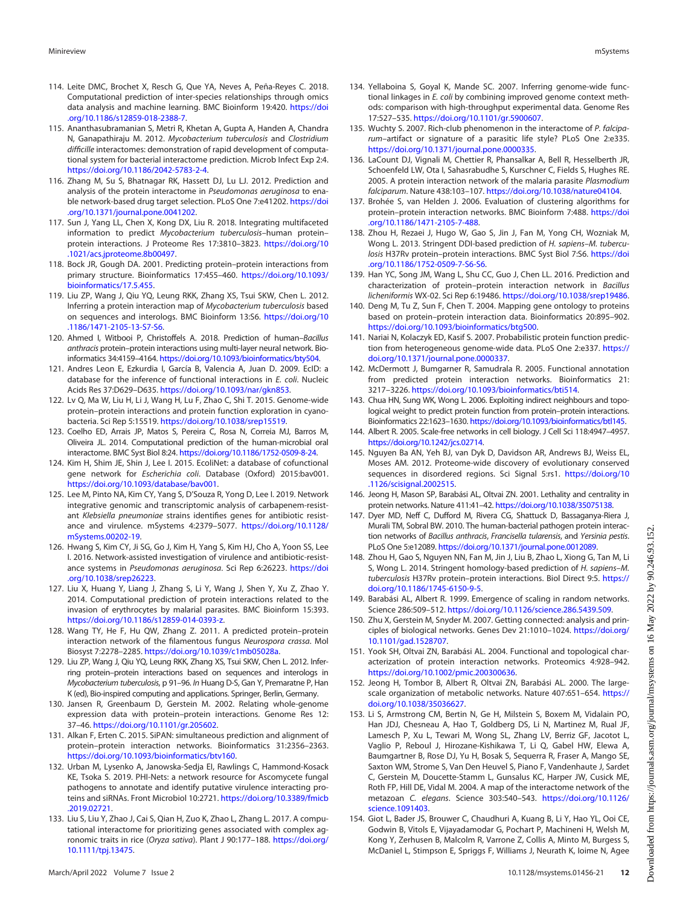- <span id="page-11-38"></span>114. Leite DMC, Brochet X, Resch G, Que YA, Neves A, Peña-Reyes C. 2018. Computational prediction of inter-species relationships through omics data analysis and machine learning. BMC Bioinform 19:420. [https://doi](https://doi.org/10.1186/s12859-018-2388-7) [.org/10.1186/s12859-018-2388-7](https://doi.org/10.1186/s12859-018-2388-7).
- <span id="page-11-36"></span>115. Ananthasubramanian S, Metri R, Khetan A, Gupta A, Handen A, Chandra N, Ganapathiraju M. 2012. Mycobacterium tuberculosis and Clostridium difficille interactomes: demonstration of rapid development of computational system for bacterial interactome prediction. Microb Infect Exp 2:4. [https://doi.org/10.1186/2042-5783-2-4.](https://doi.org/10.1186/2042-5783-2-4)
- <span id="page-11-35"></span>116. Zhang M, Su S, Bhatnagar RK, Hassett DJ, Lu LJ. 2012. Prediction and analysis of the protein interactome in Pseudomonas aeruginosa to enable network-based drug target selection. PLoS One 7:e41202. [https://doi](https://doi.org/10.1371/journal.pone.0041202) [.org/10.1371/journal.pone.0041202.](https://doi.org/10.1371/journal.pone.0041202)
- <span id="page-11-0"></span>117. Sun J, Yang LL, Chen X, Kong DX, Liu R. 2018. Integrating multifaceted information to predict Mycobacterium tuberculosis-human proteinprotein interactions. J Proteome Res 17:3810–3823. [https://doi.org/10](https://doi.org/10.1021/acs.jproteome.8b00497) [.1021/acs.jproteome.8b00497](https://doi.org/10.1021/acs.jproteome.8b00497).
- <span id="page-11-1"></span>118. Bock JR, Gough DA. 2001. Predicting protein–protein interactions from primary structure. Bioinformatics 17:455–460. [https://doi.org/10.1093/](https://doi.org/10.1093/bioinformatics/17.5.455) [bioinformatics/17.5.455](https://doi.org/10.1093/bioinformatics/17.5.455).
- <span id="page-11-2"></span>119. Liu ZP, Wang J, Qiu YQ, Leung RKK, Zhang XS, Tsui SKW, Chen L. 2012. Inferring a protein interaction map of Mycobacterium tuberculosis based on sequences and interologs. BMC Bioinform 13:S6. [https://doi.org/10](https://doi.org/10.1186/1471-2105-13-S7-S6) [.1186/1471-2105-13-S7-S6.](https://doi.org/10.1186/1471-2105-13-S7-S6)
- <span id="page-11-3"></span>120. Ahmed I, Witbooi P, Christoffels A. 2018. Prediction of human–Bacillus anthracis protein–protein interactions using multi-layer neural network. Bioinformatics 34:4159–4164. [https://doi.org/10.1093/bioinformatics/bty504.](https://doi.org/10.1093/bioinformatics/bty504)
- <span id="page-11-4"></span>121. Andres Leon E, Ezkurdia I, García B, Valencia A, Juan D. 2009. EcID: a database for the inference of functional interactions in E. coli. Nucleic Acids Res 37:D629–D635. [https://doi.org/10.1093/nar/gkn853.](https://doi.org/10.1093/nar/gkn853)
- <span id="page-11-5"></span>122. Lv Q, Ma W, Liu H, Li J, Wang H, Lu F, Zhao C, Shi T. 2015. Genome-wide protein–protein interactions and protein function exploration in cyanobacteria. Sci Rep 5:15519. [https://doi.org/10.1038/srep15519.](https://doi.org/10.1038/srep15519)
- <span id="page-11-6"></span>123. Coelho ED, Arrais JP, Matos S, Pereira C, Rosa N, Correia MJ, Barros M, Oliveira JL. 2014. Computational prediction of the human-microbial oral interactome. BMC Syst Biol 8:24. <https://doi.org/10.1186/1752-0509-8-24>.
- <span id="page-11-7"></span>124. Kim H, Shim JE, Shin J, Lee I. 2015. EcoliNet: a database of cofunctional gene network for Escherichia coli. Database (Oxford) 2015:bav001. [https://doi.org/10.1093/database/bav001.](https://doi.org/10.1093/database/bav001)
- <span id="page-11-8"></span>125. Lee M, Pinto NA, Kim CY, Yang S, D'Souza R, Yong D, Lee I. 2019. Network integrative genomic and transcriptomic analysis of carbapenem-resistant Klebsiella pneumoniae strains identifies genes for antibiotic resistance and virulence. mSystems 4:2379–5077. [https://doi.org/10.1128/](https://doi.org/10.1128/mSystems.00202-19) [mSystems.00202-19.](https://doi.org/10.1128/mSystems.00202-19)
- <span id="page-11-9"></span>126. Hwang S, Kim CY, Ji SG, Go J, Kim H, Yang S, Kim HJ, Cho A, Yoon SS, Lee I. 2016. Network-assisted investigation of virulence and antibiotic-resistance systems in Pseudomonas aeruginosa. Sci Rep 6:26223. [https://doi](https://doi.org/10.1038/srep26223) [.org/10.1038/srep26223](https://doi.org/10.1038/srep26223).
- <span id="page-11-10"></span>127. Liu X, Huang Y, Liang J, Zhang S, Li Y, Wang J, Shen Y, Xu Z, Zhao Y. 2014. Computational prediction of protein interactions related to the invasion of erythrocytes by malarial parasites. BMC Bioinform 15:393. [https://doi.org/10.1186/s12859-014-0393-z.](https://doi.org/10.1186/s12859-014-0393-z)
- <span id="page-11-11"></span>128. Wang TY, He F, Hu QW, Zhang Z. 2011. A predicted protein–protein interaction network of the filamentous fungus Neurospora crassa. Mol Biosyst 7:2278–2285. [https://doi.org/10.1039/c1mb05028a.](https://doi.org/10.1039/c1mb05028a)
- <span id="page-11-16"></span>129. Liu ZP, Wang J, Qiu YQ, Leung RKK, Zhang XS, Tsui SKW, Chen L. 2012. Inferring protein–protein interactions based on sequences and interologs in Mycobacterium tuberculosis, p 91–96. In Huang D-S, Gan Y, Premaratne P, Han K (ed), Bio-inspired computing and applications. Springer, Berlin, Germany.
- 130. Jansen R, Greenbaum D, Gerstein M. 2002. Relating whole-genome expression data with protein–protein interactions. Genome Res 12: 37–46. <https://doi.org/10.1101/gr.205602>.
- <span id="page-11-12"></span>131. Alkan F, Erten C. 2015. SiPAN: simultaneous prediction and alignment of protein–protein interaction networks. Bioinformatics 31:2356–2363. <https://doi.org/10.1093/bioinformatics/btv160>.
- <span id="page-11-13"></span>132. Urban M, Lysenko A, Janowska-Sedja EI, Rawlings C, Hammond-Kosack KE, Tsoka S. 2019. PHI-Nets: a network resource for Ascomycete fungal pathogens to annotate and identify putative virulence interacting proteins and siRNAs. Front Microbiol 10:2721. [https://doi.org/10.3389/fmicb](https://doi.org/10.3389/fmicb.2019.02721) [.2019.02721.](https://doi.org/10.3389/fmicb.2019.02721)
- <span id="page-11-14"></span>133. Liu S, Liu Y, Zhao J, Cai S, Qian H, Zuo K, Zhao L, Zhang L. 2017. A computational interactome for prioritizing genes associated with complex agronomic traits in rice (Oryza sativa). Plant J 90:177–188. [https://doi.org/](https://doi.org/10.1111/tpj.13475) [10.1111/tpj.13475.](https://doi.org/10.1111/tpj.13475)
- <span id="page-11-15"></span>134. Yellaboina S, Goyal K, Mande SC. 2007. Inferring genome-wide functional linkages in E. coli by combining improved genome context methods: comparison with high-throughput experimental data. Genome Res 17:527–535. [https://doi.org/10.1101/gr.5900607.](https://doi.org/10.1101/gr.5900607)
- <span id="page-11-17"></span>135. Wuchty S. 2007. Rich-club phenomenon in the interactome of P. falciparum–artifact or signature of a parasitic life style? PLoS One 2:e335. [https://doi.org/10.1371/journal.pone.0000335.](https://doi.org/10.1371/journal.pone.0000335)
- <span id="page-11-18"></span>136. LaCount DJ, Vignali M, Chettier R, Phansalkar A, Bell R, Hesselberth JR, Schoenfeld LW, Ota I, Sahasrabudhe S, Kurschner C, Fields S, Hughes RE. 2005. A protein interaction network of the malaria parasite Plasmodium falciparum. Nature 438:103–107. [https://doi.org/10.1038/nature04104.](https://doi.org/10.1038/nature04104)
- <span id="page-11-19"></span>137. Brohée S, van Helden J. 2006. Evaluation of clustering algorithms for protein–protein interaction networks. BMC Bioinform 7:488. [https://doi](https://doi.org/10.1186/1471-2105-7-488) [.org/10.1186/1471-2105-7-488](https://doi.org/10.1186/1471-2105-7-488).
- <span id="page-11-20"></span>138. Zhou H, Rezaei J, Hugo W, Gao S, Jin J, Fan M, Yong CH, Wozniak M, Wong L. 2013. Stringent DDI-based prediction of H. sapiens–M. tuberculosis H37Rv protein–protein interactions. BMC Syst Biol 7:S6. [https://doi](https://doi.org/10.1186/1752-0509-7-S6-S6) [.org/10.1186/1752-0509-7-S6-S6](https://doi.org/10.1186/1752-0509-7-S6-S6).
- <span id="page-11-21"></span>139. Han YC, Song JM, Wang L, Shu CC, Guo J, Chen LL. 2016. Prediction and characterization of protein–protein interaction network in Bacillus licheniformis WX-02. Sci Rep 6:19486. <https://doi.org/10.1038/srep19486>.
- <span id="page-11-22"></span>140. Deng M, Tu Z, Sun F, Chen T. 2004. Mapping gene ontology to proteins based on protein–protein interaction data. Bioinformatics 20:895–902. [https://doi.org/10.1093/bioinformatics/btg500.](https://doi.org/10.1093/bioinformatics/btg500)
- 141. Nariai N, Kolaczyk ED, Kasif S. 2007. Probabilistic protein function prediction from heterogeneous genome-wide data. PLoS One 2:e337. [https://](https://doi.org/10.1371/journal.pone.0000337) [doi.org/10.1371/journal.pone.0000337.](https://doi.org/10.1371/journal.pone.0000337)
- <span id="page-11-37"></span>142. McDermott J, Bumgarner R, Samudrala R. 2005. Functional annotation from predicted protein interaction networks. Bioinformatics 21: 3217–3226. <https://doi.org/10.1093/bioinformatics/bti514>.
- <span id="page-11-23"></span>143. Chua HN, Sung WK, Wong L. 2006. Exploiting indirect neighbours and topological weight to predict protein function from protein–protein interactions. Bioinformatics 22:1623–1630. [https://doi.org/10.1093/bioinformatics/btl145.](https://doi.org/10.1093/bioinformatics/btl145)
- <span id="page-11-24"></span>144. Albert R. 2005. Scale-free networks in cell biology. J Cell Sci 118:4947–4957. [https://doi.org/10.1242/jcs.02714.](https://doi.org/10.1242/jcs.02714)
- <span id="page-11-25"></span>145. Nguyen Ba AN, Yeh BJ, van Dyk D, Davidson AR, Andrews BJ, Weiss EL, Moses AM. 2012. Proteome-wide discovery of evolutionary conserved sequences in disordered regions. Sci Signal 5:rs1. [https://doi.org/10](https://doi.org/10.1126/scisignal.2002515) [.1126/scisignal.2002515.](https://doi.org/10.1126/scisignal.2002515)
- <span id="page-11-26"></span>146. Jeong H, Mason SP, Barabási AL, Oltvai ZN. 2001. Lethality and centrality in protein networks. Nature 411:41–42. <https://doi.org/10.1038/35075138>.
- <span id="page-11-27"></span>147. Dyer MD, Neff C, Dufford M, Rivera CG, Shattuck D, Bassaganya-Riera J, Murali TM, Sobral BW. 2010. The human-bacterial pathogen protein interaction networks of Bacillus anthracis, Francisella tularensis, and Yersinia pestis. PLoS One 5:e12089. <https://doi.org/10.1371/journal.pone.0012089>.
- <span id="page-11-28"></span>148. Zhou H, Gao S, Nguyen NN, Fan M, Jin J, Liu B, Zhao L, Xiong G, Tan M, Li S, Wong L. 2014. Stringent homology-based prediction of H. sapiens–M. tuberculosis H37Rv protein–protein interactions. Biol Direct 9:5. [https://](https://doi.org/10.1186/1745-6150-9-5) [doi.org/10.1186/1745-6150-9-5.](https://doi.org/10.1186/1745-6150-9-5)
- <span id="page-11-29"></span>149. Barabási AL, Albert R. 1999. Emergence of scaling in random networks. Science 286:509–512. <https://doi.org/10.1126/science.286.5439.509>.
- <span id="page-11-30"></span>150. Zhu X, Gerstein M, Snyder M. 2007. Getting connected: analysis and principles of biological networks. Genes Dev 21:1010–1024. [https://doi.org/](https://doi.org/10.1101/gad.1528707) [10.1101/gad.1528707.](https://doi.org/10.1101/gad.1528707)
- <span id="page-11-31"></span>151. Yook SH, Oltvai ZN, Barabási AL. 2004. Functional and topological characterization of protein interaction networks. Proteomics 4:928–942. <https://doi.org/10.1002/pmic.200300636>.
- <span id="page-11-32"></span>152. Jeong H, Tombor B, Albert R, Oltvai ZN, Barabási AL. 2000. The largescale organization of metabolic networks. Nature 407:651-654. [https://](https://doi.org/10.1038/35036627) [doi.org/10.1038/35036627](https://doi.org/10.1038/35036627).
- <span id="page-11-33"></span>153. Li S, Armstrong CM, Bertin N, Ge H, Milstein S, Boxem M, Vidalain PO, Han JDJ, Chesneau A, Hao T, Goldberg DS, Li N, Martinez M, Rual JF, Lamesch P, Xu L, Tewari M, Wong SL, Zhang LV, Berriz GF, Jacotot L, Vaglio P, Reboul J, Hirozane-Kishikawa T, Li Q, Gabel HW, Elewa A, Baumgartner B, Rose DJ, Yu H, Bosak S, Sequerra R, Fraser A, Mango SE, Saxton WM, Strome S, Van Den Heuvel S, Piano F, Vandenhaute J, Sardet C, Gerstein M, Doucette-Stamm L, Gunsalus KC, Harper JW, Cusick ME, Roth FP, Hill DE, Vidal M. 2004. A map of the interactome network of the metazoan C. elegans. Science 303:540–543. [https://doi.org/10.1126/](https://doi.org/10.1126/science.1091403) [science.1091403.](https://doi.org/10.1126/science.1091403)
- <span id="page-11-34"></span>154. Giot L, Bader JS, Brouwer C, Chaudhuri A, Kuang B, Li Y, Hao YL, Ooi CE, Godwin B, Vitols E, Vijayadamodar G, Pochart P, Machineni H, Welsh M, Kong Y, Zerhusen B, Malcolm R, Varrone Z, Collis A, Minto M, Burgess S, McDaniel L, Stimpson E, Spriggs F, Williams J, Neurath K, Ioime N, Agee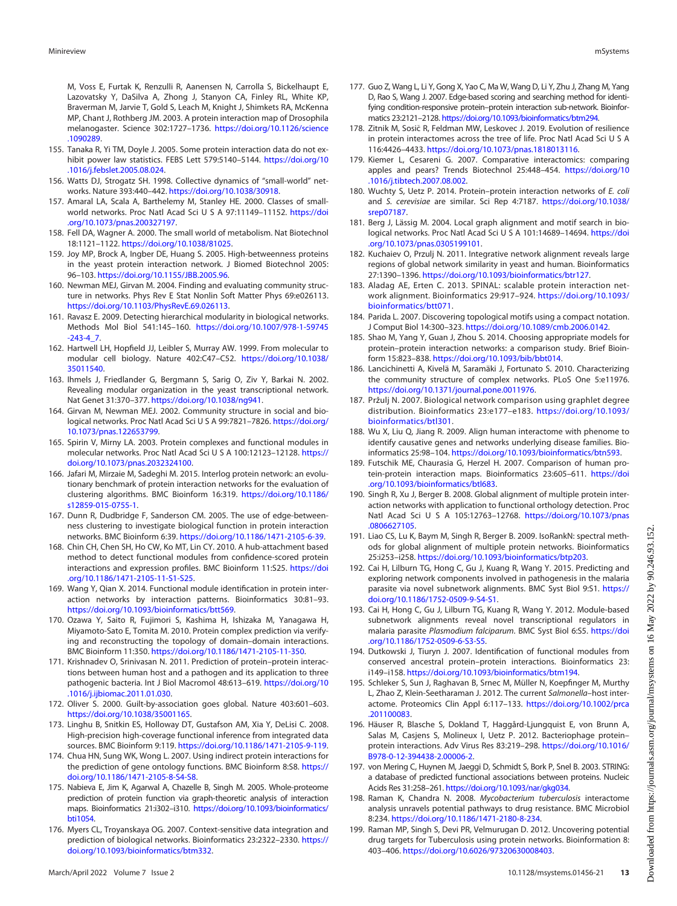M, Voss E, Furtak K, Renzulli R, Aanensen N, Carrolla S, Bickelhaupt E, Lazovatsky Y, DaSilva A, Zhong J, Stanyon CA, Finley RL, White KP, Braverman M, Jarvie T, Gold S, Leach M, Knight J, Shimkets RA, McKenna MP, Chant J, Rothberg JM. 2003. A protein interaction map of Drosophila melanogaster. Science 302:1727–1736. [https://doi.org/10.1126/science](https://doi.org/10.1126/science.1090289) [.1090289.](https://doi.org/10.1126/science.1090289)

- <span id="page-12-0"></span>155. Tanaka R, Yi TM, Doyle J. 2005. Some protein interaction data do not exhibit power law statistics. FEBS Lett 579:5140–5144. [https://doi.org/10](https://doi.org/10.1016/j.febslet.2005.08.024) [.1016/j.febslet.2005.08.024.](https://doi.org/10.1016/j.febslet.2005.08.024)
- <span id="page-12-1"></span>156. Watts DJ, Strogatz SH. 1998. Collective dynamics of "small-world" networks. Nature 393:440–442. [https://doi.org/10.1038/30918.](https://doi.org/10.1038/30918)
- <span id="page-12-2"></span>157. Amaral LA, Scala A, Barthelemy M, Stanley HE. 2000. Classes of smallworld networks. Proc Natl Acad Sci U S A 97:11149–11152. [https://doi](https://doi.org/10.1073/pnas.200327197) [.org/10.1073/pnas.200327197.](https://doi.org/10.1073/pnas.200327197)
- <span id="page-12-3"></span>158. Fell DA, Wagner A. 2000. The small world of metabolism. Nat Biotechnol 18:1121–1122. [https://doi.org/10.1038/81025.](https://doi.org/10.1038/81025)
- <span id="page-12-4"></span>159. Joy MP, Brock A, Ingber DE, Huang S. 2005. High-betweenness proteins in the yeast protein interaction network. J Biomed Biotechnol 2005: 96–103. [https://doi.org/10.1155/JBB.2005.96.](https://doi.org/10.1155/JBB.2005.96)
- <span id="page-12-5"></span>160. Newman MEJ, Girvan M. 2004. Finding and evaluating community structure in networks. Phys Rev E Stat Nonlin Soft Matter Phys 69:e026113. <https://doi.org/10.1103/PhysRevE.69.026113>.
- <span id="page-12-6"></span>161. Ravasz E. 2009. Detecting hierarchical modularity in biological networks. Methods Mol Biol 541:145–160. [https://doi.org/10.1007/978-1-59745](https://doi.org/10.1007/978-1-59745-243-4_7)  $-243-4$  7.
- <span id="page-12-7"></span>162. Hartwell LH, Hopfield JJ, Leibler S, Murray AW. 1999. From molecular to modular cell biology. Nature 402:C47–C52. [https://doi.org/10.1038/](https://doi.org/10.1038/35011540) [35011540](https://doi.org/10.1038/35011540).
- 163. Ihmels J, Friedlander G, Bergmann S, Sarig O, Ziv Y, Barkai N. 2002. Revealing modular organization in the yeast transcriptional network. Nat Genet 31:370–377. <https://doi.org/10.1038/ng941>.
- 164. Girvan M, Newman MEJ. 2002. Community structure in social and biological networks. Proc Natl Acad Sci U S A 99:7821–7826. [https://doi.org/](https://doi.org/10.1073/pnas.122653799) [10.1073/pnas.122653799.](https://doi.org/10.1073/pnas.122653799)
- <span id="page-12-8"></span>165. Spirin V, Mirny LA. 2003. Protein complexes and functional modules in molecular networks. Proc Natl Acad Sci U S A 100:12123–12128. [https://](https://doi.org/10.1073/pnas.2032324100) [doi.org/10.1073/pnas.2032324100](https://doi.org/10.1073/pnas.2032324100).
- <span id="page-12-9"></span>166. Jafari M, Mirzaie M, Sadeghi M. 2015. Interlog protein network: an evolutionary benchmark of protein interaction networks for the evaluation of clustering algorithms. BMC Bioinform 16:319. [https://doi.org/10.1186/](https://doi.org/10.1186/s12859-015-0755-1) [s12859-015-0755-1](https://doi.org/10.1186/s12859-015-0755-1).
- <span id="page-12-10"></span>167. Dunn R, Dudbridge F, Sanderson CM. 2005. The use of edge-betweenness clustering to investigate biological function in protein interaction networks. BMC Bioinform 6:39. [https://doi.org/10.1186/1471-2105-6-39.](https://doi.org/10.1186/1471-2105-6-39)
- <span id="page-12-11"></span>168. Chin CH, Chen SH, Ho CW, Ko MT, Lin CY. 2010. A hub-attachment based method to detect functional modules from confidence-scored protein interactions and expression profiles. BMC Bioinform 11:S25. [https://doi](https://doi.org/10.1186/1471-2105-11-S1-S25) [.org/10.1186/1471-2105-11-S1-S25.](https://doi.org/10.1186/1471-2105-11-S1-S25)
- <span id="page-12-12"></span>169. Wang Y, Qian X. 2014. Functional module identification in protein interaction networks by interaction patterns. Bioinformatics 30:81–93. <https://doi.org/10.1093/bioinformatics/btt569>.
- <span id="page-12-13"></span>170. Ozawa Y, Saito R, Fujimori S, Kashima H, Ishizaka M, Yanagawa H, Miyamoto-Sato E, Tomita M. 2010. Protein complex prediction via verifying and reconstructing the topology of domain–domain interactions. BMC Bioinform 11:350. <https://doi.org/10.1186/1471-2105-11-350>.
- <span id="page-12-14"></span>171. Krishnadev O, Srinivasan N. 2011. Prediction of protein–protein interactions between human host and a pathogen and its application to three pathogenic bacteria. Int J Biol Macromol 48:613–619. [https://doi.org/10](https://doi.org/10.1016/j.ijbiomac.2011.01.030) [.1016/j.ijbiomac.2011.01.030](https://doi.org/10.1016/j.ijbiomac.2011.01.030).
- <span id="page-12-15"></span>172. Oliver S. 2000. Guilt-by-association goes global. Nature 403:601–603. <https://doi.org/10.1038/35001165>.
- <span id="page-12-16"></span>173. Linghu B, Snitkin ES, Holloway DT, Gustafson AM, Xia Y, DeLisi C. 2008. High-precision high-coverage functional inference from integrated data sources. BMC Bioinform 9:119. <https://doi.org/10.1186/1471-2105-9-119>.
- <span id="page-12-17"></span>174. Chua HN, Sung WK, Wong L. 2007. Using indirect protein interactions for the prediction of gene ontology functions. BMC Bioinform 8:S8. [https://](https://doi.org/10.1186/1471-2105-8-S4-S8) [doi.org/10.1186/1471-2105-8-S4-S8](https://doi.org/10.1186/1471-2105-8-S4-S8).
- <span id="page-12-18"></span>175. Nabieva E, Jim K, Agarwal A, Chazelle B, Singh M. 2005. Whole-proteome prediction of protein function via graph-theoretic analysis of interaction maps. Bioinformatics 21:i302–i310. [https://doi.org/10.1093/bioinformatics/](https://doi.org/10.1093/bioinformatics/bti1054) [bti1054.](https://doi.org/10.1093/bioinformatics/bti1054)
- <span id="page-12-19"></span>176. Myers CL, Troyanskaya OG. 2007. Context-sensitive data integration and prediction of biological networks. Bioinformatics 23:2322–2330. [https://](https://doi.org/10.1093/bioinformatics/btm332) [doi.org/10.1093/bioinformatics/btm332.](https://doi.org/10.1093/bioinformatics/btm332)
- <span id="page-12-20"></span>177. Guo Z, Wang L, Li Y, Gong X, Yao C, Ma W, Wang D, Li Y, Zhu J, Zhang M, Yang D, Rao S, Wang J. 2007. Edge-based scoring and searching method for identifying condition-responsive protein–protein interaction sub-network. Bioinformatics 23:2121–2128. [https://doi.org/10.1093/bioinformatics/btm294.](https://doi.org/10.1093/bioinformatics/btm294)
- <span id="page-12-21"></span>178. Zitnik M, Sosič R, Feldman MW, Leskovec J. 2019. Evolution of resilience in protein interactomes across the tree of life. Proc Natl Acad Sci U S A 116:4426–4433. <https://doi.org/10.1073/pnas.1818013116>.
- <span id="page-12-22"></span>179. Kiemer L, Cesareni G. 2007. Comparative interactomics: comparing apples and pears? Trends Biotechnol 25:448–454. [https://doi.org/10](https://doi.org/10.1016/j.tibtech.2007.08.002) [.1016/j.tibtech.2007.08.002.](https://doi.org/10.1016/j.tibtech.2007.08.002)
- <span id="page-12-23"></span>180. Wuchty S, Uetz P. 2014. Protein–protein interaction networks of E. coli and S. cerevisiae are similar. Sci Rep 4:7187. [https://doi.org/10.1038/](https://doi.org/10.1038/srep07187) [srep07187.](https://doi.org/10.1038/srep07187)
- <span id="page-12-24"></span>181. Berg J, Lässig M. 2004. Local graph alignment and motif search in biological networks. Proc Natl Acad Sci U S A 101:14689–14694. [https://doi](https://doi.org/10.1073/pnas.0305199101) [.org/10.1073/pnas.0305199101](https://doi.org/10.1073/pnas.0305199101).
- <span id="page-12-25"></span>182. Kuchaiev O, Przulj N. 2011. Integrative network alignment reveals large regions of global network similarity in yeast and human. Bioinformatics 27:1390–1396. <https://doi.org/10.1093/bioinformatics/btr127>.
- <span id="page-12-26"></span>183. Aladag AE, Erten C. 2013. SPINAL: scalable protein interaction network alignment. Bioinformatics 29:917–924. [https://doi.org/10.1093/](https://doi.org/10.1093/bioinformatics/btt071) [bioinformatics/btt071](https://doi.org/10.1093/bioinformatics/btt071).
- <span id="page-12-27"></span>184. Parida L. 2007. Discovering topological motifs using a compact notation. J Comput Biol 14:300–323. [https://doi.org/10.1089/cmb.2006.0142.](https://doi.org/10.1089/cmb.2006.0142)
- <span id="page-12-28"></span>185. Shao M, Yang Y, Guan J, Zhou S. 2014. Choosing appropriate models for protein–protein interaction networks: a comparison study. Brief Bioinform 15:823–838. [https://doi.org/10.1093/bib/bbt014.](https://doi.org/10.1093/bib/bbt014)
- <span id="page-12-29"></span>186. Lancichinetti A, Kivelä M, Saramäki J, Fortunato S. 2010. Characterizing the community structure of complex networks. PLoS One 5:e11976. [https://doi.org/10.1371/journal.pone.0011976.](https://doi.org/10.1371/journal.pone.0011976)
- <span id="page-12-30"></span>187. Pržulj N. 2007. Biological network comparison using graphlet degree distribution. Bioinformatics 23:e177–e183. [https://doi.org/10.1093/](https://doi.org/10.1093/bioinformatics/btl301) [bioinformatics/btl301.](https://doi.org/10.1093/bioinformatics/btl301)
- <span id="page-12-31"></span>188. Wu X, Liu Q, Jiang R. 2009. Align human interactome with phenome to identify causative genes and networks underlying disease families. Bioinformatics 25:98–104. [https://doi.org/10.1093/bioinformatics/btn593.](https://doi.org/10.1093/bioinformatics/btn593)
- <span id="page-12-32"></span>189. Futschik ME, Chaurasia G, Herzel H. 2007. Comparison of human protein-protein interaction maps. Bioinformatics 23:605–611. [https://doi](https://doi.org/10.1093/bioinformatics/btl683) [.org/10.1093/bioinformatics/btl683](https://doi.org/10.1093/bioinformatics/btl683).
- <span id="page-12-33"></span>190. Singh R, Xu J, Berger B. 2008. Global alignment of multiple protein interaction networks with application to functional orthology detection. Proc Natl Acad Sci U S A 105:12763–12768. [https://doi.org/10.1073/pnas](https://doi.org/10.1073/pnas.0806627105) [.0806627105](https://doi.org/10.1073/pnas.0806627105).
- <span id="page-12-35"></span>191. Liao CS, Lu K, Baym M, Singh R, Berger B. 2009. IsoRankN: spectral methods for global alignment of multiple protein networks. Bioinformatics 25:i253–i258. [https://doi.org/10.1093/bioinformatics/btp203.](https://doi.org/10.1093/bioinformatics/btp203)
- 192. Cai H, Lilburn TG, Hong C, Gu J, Kuang R, Wang Y. 2015. Predicting and exploring network components involved in pathogenesis in the malaria parasite via novel subnetwork alignments. BMC Syst Biol 9:S1. [https://](https://doi.org/10.1186/1752-0509-9-S4-S1) [doi.org/10.1186/1752-0509-9-S4-S1](https://doi.org/10.1186/1752-0509-9-S4-S1).
- 193. Cai H, Hong C, Gu J, Lilburn TG, Kuang R, Wang Y. 2012. Module-based subnetwork alignments reveal novel transcriptional regulators in malaria parasite Plasmodium falciparum. BMC Syst Biol 6:S5. [https://doi](https://doi.org/10.1186/1752-0509-6-S3-S5) [.org/10.1186/1752-0509-6-S3-S5](https://doi.org/10.1186/1752-0509-6-S3-S5).
- <span id="page-12-34"></span>194. Dutkowski J, Tiuryn J. 2007. Identification of functional modules from conserved ancestral protein–protein interactions. Bioinformatics 23: i149–i158. <https://doi.org/10.1093/bioinformatics/btm194>.
- <span id="page-12-36"></span>195. Schleker S, Sun J, Raghavan B, Srnec M, Müller N, Koepfinger M, Murthy L, Zhao Z, Klein-Seetharaman J. 2012. The current Salmonella–host interactome. Proteomics Clin Appl 6:117–133. [https://doi.org/10.1002/prca](https://doi.org/10.1002/prca.201100083) [.201100083](https://doi.org/10.1002/prca.201100083).
- <span id="page-12-37"></span>196. Häuser R, Blasche S, Dokland T, Haggård-Ljungquist E, von Brunn A, Salas M, Casjens S, Molineux I, Uetz P. 2012. Bacteriophage protein– protein interactions. Adv Virus Res 83:219–298. [https://doi.org/10.1016/](https://doi.org/10.1016/B978-0-12-394438-2.00006-2) [B978-0-12-394438-2.00006-2](https://doi.org/10.1016/B978-0-12-394438-2.00006-2).
- <span id="page-12-38"></span>197. von Mering C, Huynen M, Jaeggi D, Schmidt S, Bork P, Snel B. 2003. STRING: a database of predicted functional associations between proteins. Nucleic Acids Res 31:258–261. <https://doi.org/10.1093/nar/gkg034>.
- <span id="page-12-39"></span>198. Raman K, Chandra N. 2008. Mycobacterium tuberculosis interactome analysis unravels potential pathways to drug resistance. BMC Microbiol 8:234. [https://doi.org/10.1186/1471-2180-8-234.](https://doi.org/10.1186/1471-2180-8-234)
- <span id="page-12-40"></span>199. Raman MP, Singh S, Devi PR, Velmurugan D. 2012. Uncovering potential drug targets for Tuberculosis using protein networks. Bioinformation 8: 403–406. <https://doi.org/10.6026/97320630008403>.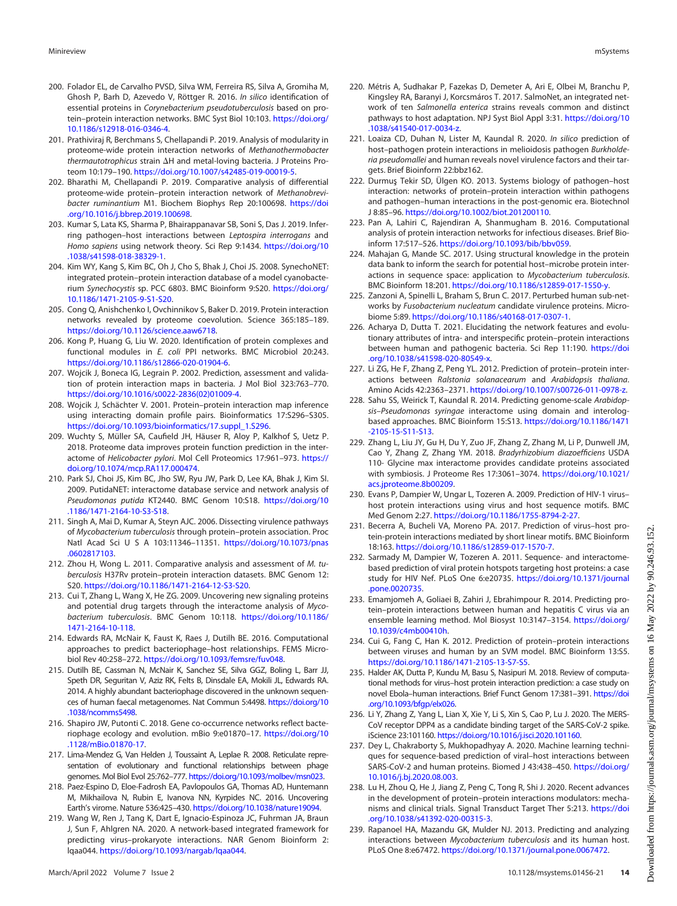- <span id="page-13-2"></span>200. Folador EL, de Carvalho PVSD, Silva WM, Ferreira RS, Silva A, Gromiha M, Ghosh P, Barh D, Azevedo V, Röttger R. 2016. In silico identification of essential proteins in Corynebacterium pseudotuberculosis based on protein–protein interaction networks. BMC Syst Biol 10:103. [https://doi.org/](https://doi.org/10.1186/s12918-016-0346-4) [10.1186/s12918-016-0346-4](https://doi.org/10.1186/s12918-016-0346-4).
- <span id="page-13-5"></span>201. Prathiviraj R, Berchmans S, Chellapandi P. 2019. Analysis of modularity in proteome-wide protein interaction networks of Methanothermobacter thermautotrophicus strain  $\Delta H$  and metal-loving bacteria. J Proteins Proteom 10:179–190. [https://doi.org/10.1007/s42485-019-00019-5.](https://doi.org/10.1007/s42485-019-00019-5)
- <span id="page-13-4"></span>202. Bharathi M, Chellapandi P. 2019. Comparative analysis of differential proteome-wide protein–protein interaction network of Methanobrevibacter ruminantium M1. Biochem Biophys Rep 20:100698. [https://doi](https://doi.org/10.1016/j.bbrep.2019.100698) [.org/10.1016/j.bbrep.2019.100698](https://doi.org/10.1016/j.bbrep.2019.100698).
- <span id="page-13-24"></span>203. Kumar S, Lata KS, Sharma P, Bhairappanavar SB, Soni S, Das J. 2019. Inferring pathogen–host interactions between Leptospira interrogans and Homo sapiens using network theory. Sci Rep 9:1434. [https://doi.org/10](https://doi.org/10.1038/s41598-018-38329-1) [.1038/s41598-018-38329-1.](https://doi.org/10.1038/s41598-018-38329-1)
- <span id="page-13-0"></span>204. Kim WY, Kang S, Kim BC, Oh J, Cho S, Bhak J, Choi JS. 2008. SynechoNET: integrated protein–protein interaction database of a model cyanobacterium Synechocystis sp. PCC 6803. BMC Bioinform 9:S20. [https://doi.org/](https://doi.org/10.1186/1471-2105-9-S1-S20) [10.1186/1471-2105-9-S1-S20](https://doi.org/10.1186/1471-2105-9-S1-S20).
- <span id="page-13-3"></span>205. Cong Q, Anishchenko I, Ovchinnikov S, Baker D. 2019. Protein interaction networks revealed by proteome coevolution. Science 365:185–189. <https://doi.org/10.1126/science.aaw6718>.
- <span id="page-13-9"></span>206. Kong P, Huang G, Liu W. 2020. Identification of protein complexes and functional modules in E. coli PPI networks. BMC Microbiol 20:243. <https://doi.org/10.1186/s12866-020-01904-6>.
- <span id="page-13-1"></span>207. Wojcik J, Boneca IG, Legrain P. 2002. Prediction, assessment and validation of protein interaction maps in bacteria. J Mol Biol 323:763–770. [https://doi.org/10.1016/s0022-2836\(02\)01009-4.](https://doi.org/10.1016/s0022-2836(02)01009-4)
- <span id="page-13-10"></span>208. Wojcik J, Schächter V. 2001. Protein–protein interaction map inference using interacting domain profile pairs. Bioinformatics 17:S296–S305. [https://doi.org/10.1093/bioinformatics/17.suppl\\_1.S296](https://doi.org/10.1093/bioinformatics/17.suppl_1.S296).
- <span id="page-13-11"></span>209. Wuchty S, Müller SA, Caufield JH, Häuser R, Aloy P, Kalkhof S, Uetz P. 2018. Proteome data improves protein function prediction in the interactome of Helicobacter pylori. Mol Cell Proteomics 17:961-973. [https://](https://doi.org/10.1074/mcp.RA117.000474) [doi.org/10.1074/mcp.RA117.000474.](https://doi.org/10.1074/mcp.RA117.000474)
- <span id="page-13-7"></span>210. Park SJ, Choi JS, Kim BC, Jho SW, Ryu JW, Park D, Lee KA, Bhak J, Kim SI. 2009. PutidaNET: interactome database service and network analysis of Pseudomonas putida KT2440. BMC Genom 10:S18. [https://doi.org/10](https://doi.org/10.1186/1471-2164-10-S3-S18) [.1186/1471-2164-10-S3-S18](https://doi.org/10.1186/1471-2164-10-S3-S18).
- <span id="page-13-12"></span>211. Singh A, Mai D, Kumar A, Steyn AJC. 2006. Dissecting virulence pathways of Mycobacterium tuberculosis through protein–protein association. Proc Natl Acad Sci U S A 103:11346–11351. [https://doi.org/10.1073/pnas](https://doi.org/10.1073/pnas.0602817103) [.0602817103](https://doi.org/10.1073/pnas.0602817103).
- <span id="page-13-13"></span>212. Zhou H, Wong L. 2011. Comparative analysis and assessment of M. tuberculosis H37Rv protein–protein interaction datasets. BMC Genom 12: S20. [https://doi.org/10.1186/1471-2164-12-S3-S20.](https://doi.org/10.1186/1471-2164-12-S3-S20)
- <span id="page-13-6"></span>213. Cui T, Zhang L, Wang X, He ZG. 2009. Uncovering new signaling proteins and potential drug targets through the interactome analysis of Mycobacterium tuberculosis. BMC Genom 10:118. [https://doi.org/10.1186/](https://doi.org/10.1186/1471-2164-10-118) [1471-2164-10-118](https://doi.org/10.1186/1471-2164-10-118).
- <span id="page-13-14"></span>214. Edwards RA, McNair K, Faust K, Raes J, Dutilh BE. 2016. Computational approaches to predict bacteriophage–host relationships. FEMS Microbiol Rev 40:258–272. [https://doi.org/10.1093/femsre/fuv048.](https://doi.org/10.1093/femsre/fuv048)
- <span id="page-13-15"></span>215. Dutilh BE, Cassman N, McNair K, Sanchez SE, Silva GGZ, Boling L, Barr JJ, Speth DR, Seguritan V, Aziz RK, Felts B, Dinsdale EA, Mokili JL, Edwards RA. 2014. A highly abundant bacteriophage discovered in the unknown sequences of human faecal metagenomes. Nat Commun 5:4498. [https://doi.org/10](https://doi.org/10.1038/ncomms5498) [.1038/ncomms5498.](https://doi.org/10.1038/ncomms5498)
- 216. Shapiro JW, Putonti C. 2018. Gene co-occurrence networks reflect bacteriophage ecology and evolution. mBio 9:e01870–17. [https://doi.org/10](https://doi.org/10.1128/mBio.01870-17) [.1128/mBio.01870-17.](https://doi.org/10.1128/mBio.01870-17)
- 217. Lima-Mendez G, Van Helden J, Toussaint A, Leplae R. 2008. Reticulate representation of evolutionary and functional relationships between phage genomes. Mol Biol Evol 25:762–777. <https://doi.org/10.1093/molbev/msn023>.
- <span id="page-13-16"></span>218. Paez-Espino D, Eloe-Fadrosh EA, Pavlopoulos GA, Thomas AD, Huntemann M, Mikhailova N, Rubin E, Ivanova NN, Kyrpides NC. 2016. Uncovering Earth's virome. Nature 536:425–430. <https://doi.org/10.1038/nature19094>.
- <span id="page-13-17"></span>219. Wang W, Ren J, Tang K, Dart E, Ignacio-Espinoza JC, Fuhrman JA, Braun J, Sun F, Ahlgren NA. 2020. A network-based integrated framework for predicting virus–prokaryote interactions. NAR Genom Bioinform 2: lqaa044. <https://doi.org/10.1093/nargab/lqaa044>.
- <span id="page-13-8"></span>220. Métris A, Sudhakar P, Fazekas D, Demeter A, Ari E, Olbei M, Branchu P, Kingsley RA, Baranyi J, Korcsmáros T. 2017. SalmoNet, an integrated network of ten Salmonella enterica strains reveals common and distinct pathways to host adaptation. NPJ Syst Biol Appl 3:31. [https://doi.org/10](https://doi.org/10.1038/s41540-017-0034-z) [.1038/s41540-017-0034-z](https://doi.org/10.1038/s41540-017-0034-z).
- <span id="page-13-18"></span>221. Loaiza CD, Duhan N, Lister M, Kaundal R. 2020. In silico prediction of host–pathogen protein interactions in melioidosis pathogen Burkholderia pseudomallei and human reveals novel virulence factors and their targets. Brief Bioinform 22:bbz162.
- <span id="page-13-19"></span>222. Durmus Tekir SD, Ülgen KO. 2013. Systems biology of pathogen–host interaction: networks of protein–protein interaction within pathogens and pathogen–human interactions in the post-genomic era. Biotechnol J 8:85–96. <https://doi.org/10.1002/biot.201200110>.
- <span id="page-13-20"></span>223. Pan A, Lahiri C, Rajendiran A, Shanmugham B. 2016. Computational analysis of protein interaction networks for infectious diseases. Brief Bioinform 17:517–526. [https://doi.org/10.1093/bib/bbv059.](https://doi.org/10.1093/bib/bbv059)
- <span id="page-13-21"></span>224. Mahajan G, Mande SC. 2017. Using structural knowledge in the protein data bank to inform the search for potential host–microbe protein interactions in sequence space: application to Mycobacterium tuberculosis. BMC Bioinform 18:201. [https://doi.org/10.1186/s12859-017-1550-y.](https://doi.org/10.1186/s12859-017-1550-y)
- <span id="page-13-22"></span>225. Zanzoni A, Spinelli L, Braham S, Brun C. 2017. Perturbed human sub-networks by *Fusobacterium nucleatum* candidate virulence proteins. Microbiome 5:89. [https://doi.org/10.1186/s40168-017-0307-1.](https://doi.org/10.1186/s40168-017-0307-1)
- <span id="page-13-23"></span>226. Acharya D, Dutta T. 2021. Elucidating the network features and evolutionary attributes of intra- and interspecific protein–protein interactions between human and pathogenic bacteria. Sci Rep 11:190. [https://doi](https://doi.org/10.1038/s41598-020-80549-x) [.org/10.1038/s41598-020-80549-x.](https://doi.org/10.1038/s41598-020-80549-x)
- <span id="page-13-25"></span>227. Li ZG, He F, Zhang Z, Peng YL. 2012. Prediction of protein–protein interactions between Ralstonia solanacearum and Arabidopsis thaliana. Amino Acids 42:2363–2371. [https://doi.org/10.1007/s00726-011-0978-z.](https://doi.org/10.1007/s00726-011-0978-z)
- <span id="page-13-26"></span>228. Sahu SS, Weirick T, Kaundal R. 2014. Predicting genome-scale Arabidopsis–Pseudomonas syringae interactome using domain and interologbased approaches. BMC Bioinform 15:S13. [https://doi.org/10.1186/1471](https://doi.org/10.1186/1471-2105-15-S11-S13) [-2105-15-S11-S13](https://doi.org/10.1186/1471-2105-15-S11-S13).
- <span id="page-13-27"></span>229. Zhang L, Liu JY, Gu H, Du Y, Zuo JF, Zhang Z, Zhang M, Li P, Dunwell JM, Cao Y, Zhang Z, Zhang YM. 2018. Bradyrhizobium diazoefficiens USDA 110- Glycine max interactome provides candidate proteins associated with symbiosis. J Proteome Res 17:3061–3074. [https://doi.org/10.1021/](https://doi.org/10.1021/acs.jproteome.8b00209) [acs.jproteome.8b00209.](https://doi.org/10.1021/acs.jproteome.8b00209)
- <span id="page-13-28"></span>230. Evans P, Dampier W, Ungar L, Tozeren A. 2009. Prediction of HIV-1 virus– host protein interactions using virus and host sequence motifs. BMC Med Genom 2:27. <https://doi.org/10.1186/1755-8794-2-27>.
- <span id="page-13-29"></span>231. Becerra A, Bucheli VA, Moreno PA. 2017. Prediction of virus–host protein-protein interactions mediated by short linear motifs. BMC Bioinform 18:163. <https://doi.org/10.1186/s12859-017-1570-7>.
- <span id="page-13-30"></span>232. Sarmady M, Dampier W, Tozeren A. 2011. Sequence- and interactomebased prediction of viral protein hotspots targeting host proteins: a case study for HIV Nef. PLoS One 6:e20735. [https://doi.org/10.1371/journal](https://doi.org/10.1371/journal.pone.0020735) [.pone.0020735.](https://doi.org/10.1371/journal.pone.0020735)
- <span id="page-13-31"></span>233. Emamjomeh A, Goliaei B, Zahiri J, Ebrahimpour R. 2014. Predicting protein–protein interactions between human and hepatitis C virus via an ensemble learning method. Mol Biosyst 10:3147–3154. [https://doi.org/](https://doi.org/10.1039/c4mb00410h) [10.1039/c4mb00410h.](https://doi.org/10.1039/c4mb00410h)
- <span id="page-13-32"></span>234. Cui G, Fang C, Han K. 2012. Prediction of protein–protein interactions between viruses and human by an SVM model. BMC Bioinform 13:S5. <https://doi.org/10.1186/1471-2105-13-S7-S5>.
- <span id="page-13-33"></span>235. Halder AK, Dutta P, Kundu M, Basu S, Nasipuri M. 2018. Review of computational methods for virus–host protein interaction prediction: a case study on novel Ebola–human interactions. Brief Funct Genom 17:381–391. [https://doi](https://doi.org/10.1093/bfgp/elx026) [.org/10.1093/bfgp/elx026.](https://doi.org/10.1093/bfgp/elx026)
- <span id="page-13-34"></span>236. Li Y, Zhang Z, Yang L, Lian X, Xie Y, Li S, Xin S, Cao P, Lu J. 2020. The MERS-CoV receptor DPP4 as a candidate binding target of the SARS-CoV-2 spike. iScience 23:101160. <https://doi.org/10.1016/j.isci.2020.101160>.
- <span id="page-13-35"></span>237. Dey L, Chakraborty S, Mukhopadhyay A. 2020. Machine learning techniques for sequence-based prediction of viral–host interactions between SARS-CoV-2 and human proteins. Biomed J 43:438–450. [https://doi.org/](https://doi.org/10.1016/j.bj.2020.08.003) [10.1016/j.bj.2020.08.003](https://doi.org/10.1016/j.bj.2020.08.003).
- <span id="page-13-36"></span>238. Lu H, Zhou Q, He J, Jiang Z, Peng C, Tong R, Shi J. 2020. Recent advances in the development of protein–protein interactions modulators: mechanisms and clinical trials. Signal Transduct Target Ther 5:213. [https://doi](https://doi.org/10.1038/s41392-020-00315-3) [.org/10.1038/s41392-020-00315-3](https://doi.org/10.1038/s41392-020-00315-3).
- <span id="page-13-37"></span>239. Rapanoel HA, Mazandu GK, Mulder NJ. 2013. Predicting and analyzing interactions between Mycobacterium tuberculosis and its human host. PLoS One 8:e67472. <https://doi.org/10.1371/journal.pone.0067472>.